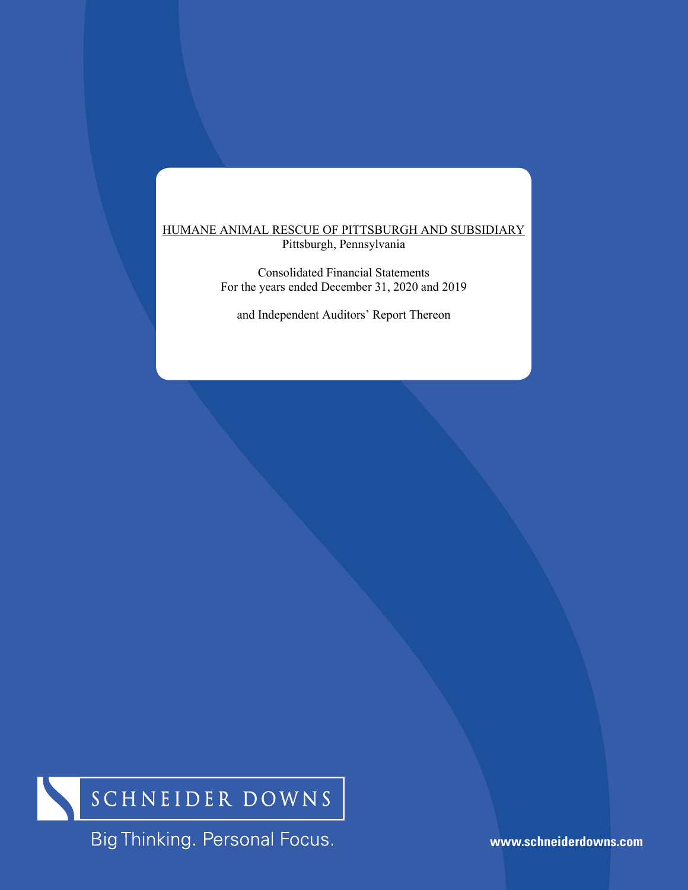# HUMANE ANIMAL RESCUE OF PITTSBURGH AND SUBSIDIARY Pittsburgh, Pennsylvania

Consolidated Financial Statements For the years ended December 31, 2020 and 2019

and Independent Auditors' Report Thereon



Big Thinking. Personal Focus.

**www.schneiderdowns.com**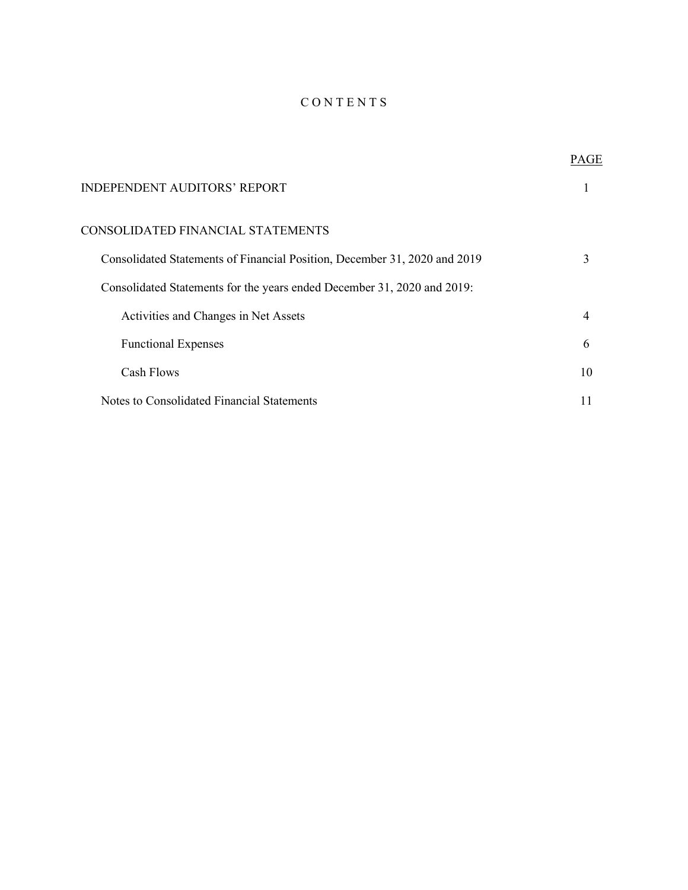# C O N T E N T S

| INDEPENDENT AUDITORS' REPORT                                              |  |
|---------------------------------------------------------------------------|--|
| CONSOLIDATED FINANCIAL STATEMENTS                                         |  |
| Consolidated Statements of Financial Position, December 31, 2020 and 2019 |  |
| Consolidated Statements for the years ended December 31, 2020 and 2019:   |  |
|                                                                           |  |

| Consolidated Statements for the years ended December 31, 2020 and 2019: |    |
|-------------------------------------------------------------------------|----|
| Activities and Changes in Net Assets                                    |    |
| <b>Functional Expenses</b>                                              | 6  |
| Cash Flows                                                              | 10 |
| Notes to Consolidated Financial Statements                              |    |

# PAGE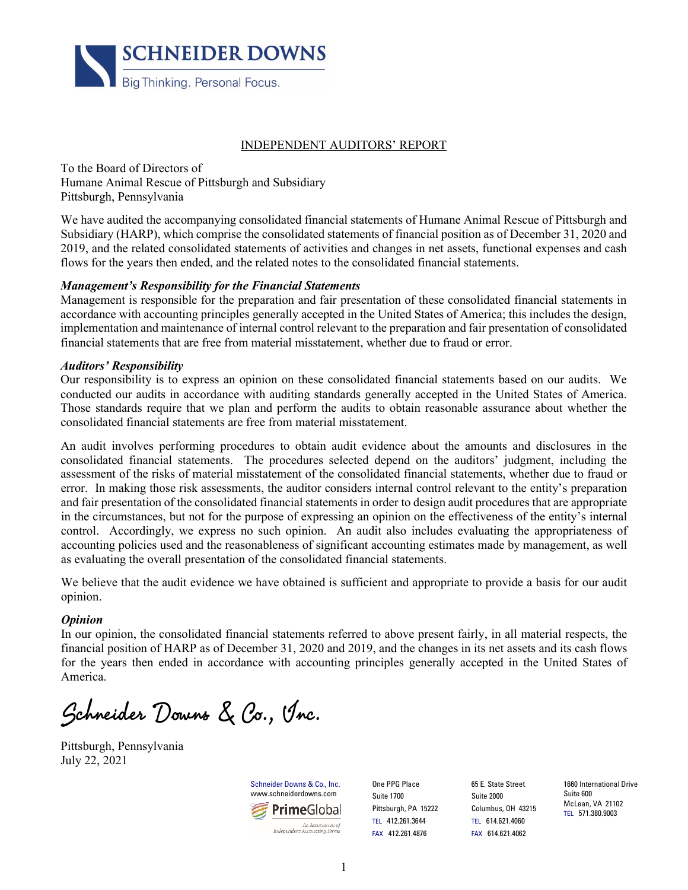

# INDEPENDENT AUDITORS' REPORT

To the Board of Directors of Humane Animal Rescue of Pittsburgh and Subsidiary Pittsburgh, Pennsylvania

We have audited the accompanying consolidated financial statements of Humane Animal Rescue of Pittsburgh and Subsidiary (HARP), which comprise the consolidated statements of financial position as of December 31, 2020 and 2019, and the related consolidated statements of activities and changes in net assets, functional expenses and cash flows for the years then ended, and the related notes to the consolidated financial statements.

# *Management's Responsibility for the Financial Statements*

Management is responsible for the preparation and fair presentation of these consolidated financial statements in accordance with accounting principles generally accepted in the United States of America; this includes the design, implementation and maintenance of internal control relevant to the preparation and fair presentation of consolidated financial statements that are free from material misstatement, whether due to fraud or error.

# *Auditors' Responsibility*

Our responsibility is to express an opinion on these consolidated financial statements based on our audits. We conducted our audits in accordance with auditing standards generally accepted in the United States of America. Those standards require that we plan and perform the audits to obtain reasonable assurance about whether the consolidated financial statements are free from material misstatement.

An audit involves performing procedures to obtain audit evidence about the amounts and disclosures in the consolidated financial statements. The procedures selected depend on the auditors' judgment, including the assessment of the risks of material misstatement of the consolidated financial statements, whether due to fraud or error. In making those risk assessments, the auditor considers internal control relevant to the entity's preparation and fair presentation of the consolidated financial statements in order to design audit procedures that are appropriate in the circumstances, but not for the purpose of expressing an opinion on the effectiveness of the entity's internal control. Accordingly, we express no such opinion. An audit also includes evaluating the appropriateness of accounting policies used and the reasonableness of significant accounting estimates made by management, as well as evaluating the overall presentation of the consolidated financial statements.

We believe that the audit evidence we have obtained is sufficient and appropriate to provide a basis for our audit opinion.

# *Opinion*

In our opinion, the consolidated financial statements referred to above present fairly, in all material respects, the financial position of HARP as of December 31, 2020 and 2019, and the changes in its net assets and its cash flows for the years then ended in accordance with accounting principles generally accepted in the United States of America.

Schneider Downs & Co., Inc.

Pittsburgh, Pennsylvania July 22, 2021



One PPG Place Suite 1700 Pittsburgh, PA 15222 TEL 412.261.3644 FAX 412.261.4876

65 E. State Street Suite 2000 Columbus, OH 43215 TEL 614.621.4060 FAX 614.621.4062

1660 International Drive Suite 600 McLean, VA 21102 TEL 571.380.9003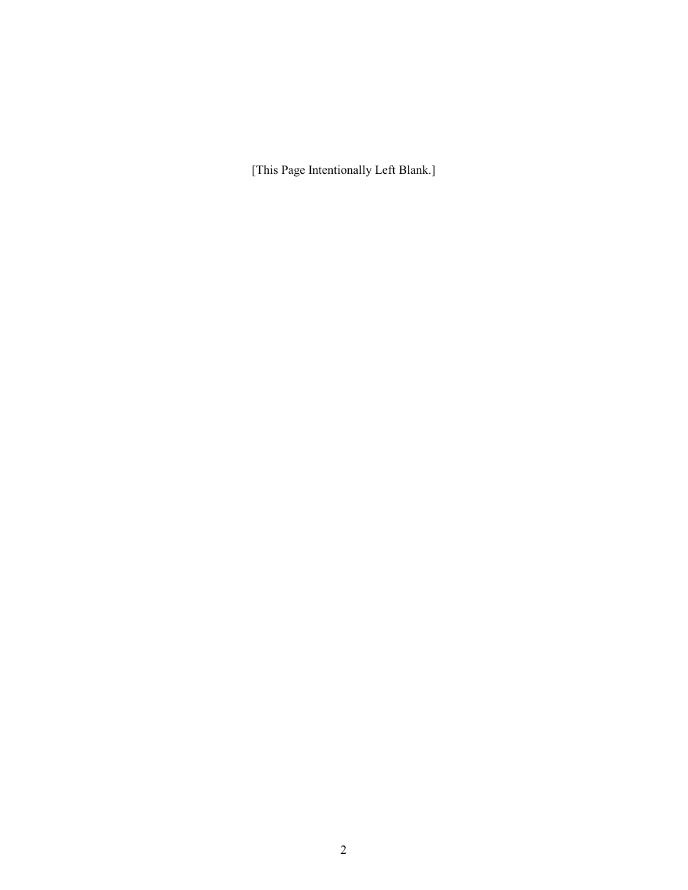[This Page Intentionally Left Blank.]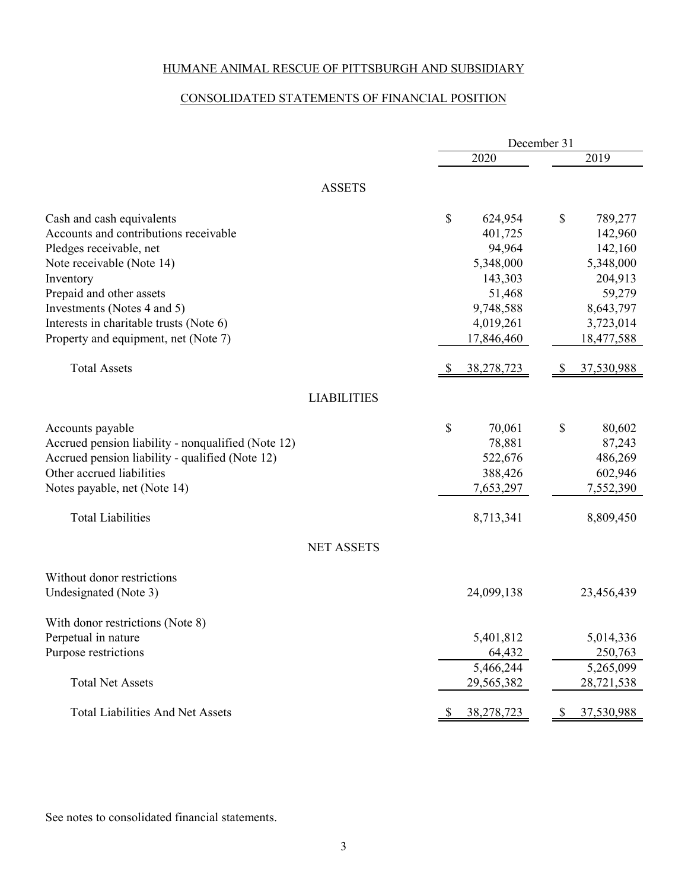# CONSOLIDATED STATEMENTS OF FINANCIAL POSITION

|                                                    |               | December 31                |  |  |
|----------------------------------------------------|---------------|----------------------------|--|--|
|                                                    | 2020          | 2019                       |  |  |
| <b>ASSETS</b>                                      |               |                            |  |  |
| Cash and cash equivalents                          | \$<br>624,954 | $\mathcal{S}$<br>789,277   |  |  |
| Accounts and contributions receivable              | 401,725       | 142,960                    |  |  |
| Pledges receivable, net                            | 94,964        | 142,160                    |  |  |
| Note receivable (Note 14)                          | 5,348,000     | 5,348,000                  |  |  |
| Inventory                                          | 143,303       | 204,913                    |  |  |
| Prepaid and other assets                           | 51,468        | 59,279                     |  |  |
| Investments (Notes 4 and 5)                        | 9,748,588     | 8,643,797                  |  |  |
| Interests in charitable trusts (Note 6)            | 4,019,261     | 3,723,014                  |  |  |
| Property and equipment, net (Note 7)               | 17,846,460    | 18,477,588                 |  |  |
| <b>Total Assets</b>                                | 38,278,723    | 37,530,988                 |  |  |
| <b>LIABILITIES</b>                                 |               |                            |  |  |
| Accounts payable                                   | \$<br>70,061  | \$<br>80,602               |  |  |
| Accrued pension liability - nonqualified (Note 12) | 78,881        | 87,243                     |  |  |
| Accrued pension liability - qualified (Note 12)    | 522,676       | 486,269                    |  |  |
| Other accrued liabilities                          | 388,426       | 602,946                    |  |  |
| Notes payable, net (Note 14)                       | 7,653,297     | 7,552,390                  |  |  |
| <b>Total Liabilities</b>                           | 8,713,341     | 8,809,450                  |  |  |
|                                                    |               |                            |  |  |
| <b>NET ASSETS</b>                                  |               |                            |  |  |
| Without donor restrictions                         |               |                            |  |  |
| Undesignated (Note 3)                              | 24,099,138    | 23,456,439                 |  |  |
| With donor restrictions (Note 8)                   |               |                            |  |  |
| Perpetual in nature                                | 5,401,812     | 5,014,336                  |  |  |
| Purpose restrictions                               | 64,432        | 250,763                    |  |  |
|                                                    | 5,466,244     | 5,265,099                  |  |  |
| <b>Total Net Assets</b>                            | 29,565,382    | 28,721,538                 |  |  |
| <b>Total Liabilities And Net Assets</b>            | 38,278,723    | 37,530,988<br><sup>2</sup> |  |  |
|                                                    |               |                            |  |  |

See notes to consolidated financial statements.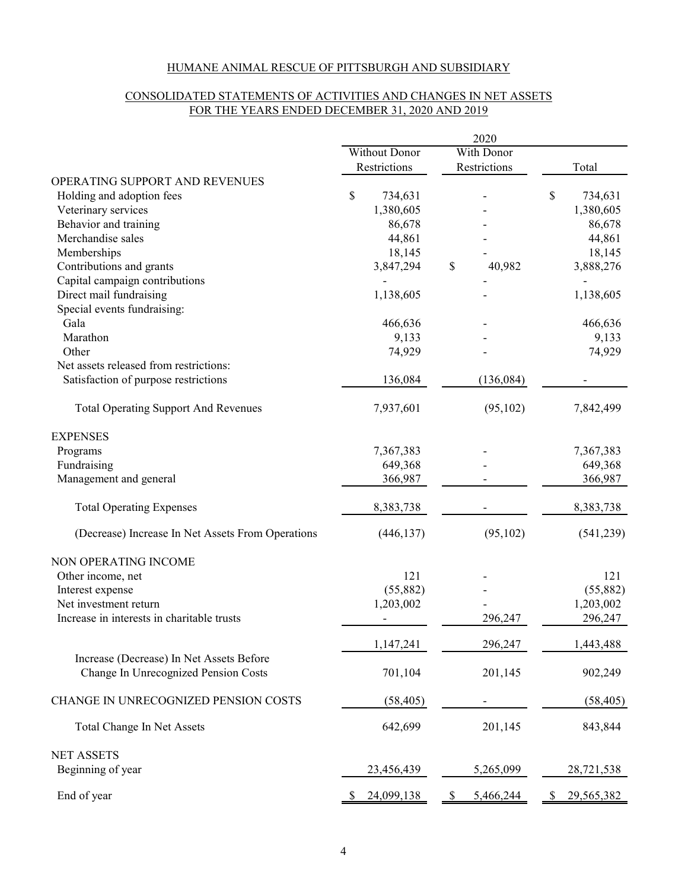# CONSOLIDATED STATEMENTS OF ACTIVITIES AND CHANGES IN NET ASSETS FOR THE YEARS ENDED DECEMBER 31, 2020 AND 2019

|                                                   |                      | 2020         |                   |
|---------------------------------------------------|----------------------|--------------|-------------------|
|                                                   | <b>Without Donor</b> | With Donor   |                   |
|                                                   | Restrictions         | Restrictions | Total             |
| OPERATING SUPPORT AND REVENUES                    |                      |              |                   |
| Holding and adoption fees                         | \$<br>734,631        |              | \$<br>734,631     |
| Veterinary services                               | 1,380,605            |              | 1,380,605         |
| Behavior and training                             | 86,678               |              | 86,678            |
| Merchandise sales                                 | 44,861               |              | 44,861            |
| Memberships                                       | 18,145               |              | 18,145            |
| Contributions and grants                          | 3,847,294            | \$<br>40,982 | 3,888,276         |
| Capital campaign contributions                    |                      |              |                   |
| Direct mail fundraising                           | 1,138,605            |              | 1,138,605         |
| Special events fundraising:                       |                      |              |                   |
| Gala                                              | 466,636              |              | 466,636           |
| Marathon                                          | 9,133                |              | 9,133             |
| Other                                             | 74,929               |              | 74,929            |
| Net assets released from restrictions:            |                      |              |                   |
| Satisfaction of purpose restrictions              | 136,084              | (136, 084)   |                   |
|                                                   |                      |              |                   |
| <b>Total Operating Support And Revenues</b>       | 7,937,601            | (95,102)     | 7,842,499         |
| <b>EXPENSES</b>                                   |                      |              |                   |
| Programs                                          | 7,367,383            |              | 7,367,383         |
| Fundraising                                       | 649,368              |              | 649,368           |
| Management and general                            | 366,987              |              | 366,987           |
| <b>Total Operating Expenses</b>                   | 8,383,738            |              | 8,383,738         |
| (Decrease) Increase In Net Assets From Operations | (446, 137)           | (95,102)     | (541, 239)        |
| NON OPERATING INCOME                              |                      |              |                   |
| Other income, net                                 | 121                  |              | 121               |
| Interest expense                                  | (55,882)             |              | (55,882)          |
| Net investment return                             | 1,203,002            |              | 1,203,002         |
| Increase in interests in charitable trusts        |                      | 296,247      | 296,247           |
|                                                   | 1,147,241            | 296,247      | 1,443,488         |
| Increase (Decrease) In Net Assets Before          |                      |              |                   |
| Change In Unrecognized Pension Costs              | 701,104              | 201,145      | 902,249           |
| CHANGE IN UNRECOGNIZED PENSION COSTS              | (58, 405)            |              | (58, 405)         |
| Total Change In Net Assets                        | 642,699              | 201,145      | 843,844           |
| <b>NET ASSETS</b>                                 |                      |              |                   |
| Beginning of year                                 | 23,456,439           | 5,265,099    | 28,721,538        |
| End of year                                       | 24,099,138           | 5,466,244    | <u>29,565,382</u> |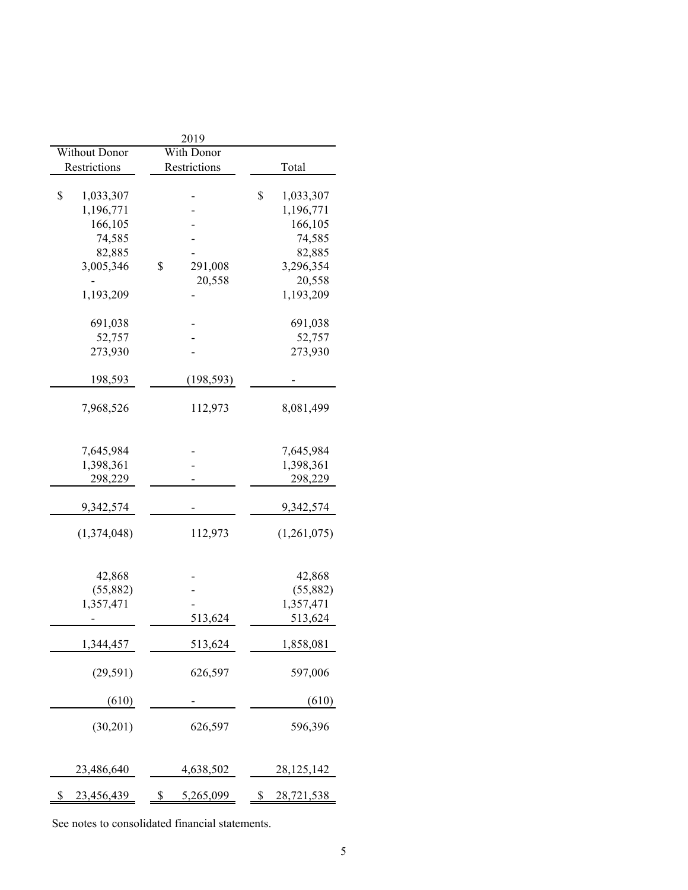|                      | 2019              |                 |
|----------------------|-------------------|-----------------|
| <b>Without Donor</b> | <b>With Donor</b> |                 |
| Restrictions         | Restrictions      | Total           |
|                      |                   |                 |
| \$<br>1,033,307      |                   | \$<br>1,033,307 |
| 1,196,771            |                   | 1,196,771       |
| 166,105              |                   | 166,105         |
| 74,585               |                   | 74,585          |
| 82,885               |                   | 82,885          |
| 3,005,346            | \$<br>291,008     | 3,296,354       |
|                      | 20,558            | 20,558          |
| 1,193,209            |                   | 1,193,209       |
| 691,038              |                   | 691,038         |
| 52,757               |                   | 52,757          |
| 273,930              |                   | 273,930         |
|                      |                   |                 |
| 198,593              | (198, 593)        |                 |
| 7,968,526            | 112,973           | 8,081,499       |
|                      |                   |                 |
| 7,645,984            |                   | 7,645,984       |
| 1,398,361            |                   | 1,398,361       |
| 298,229              |                   | 298,229         |
|                      |                   |                 |
| 9,342,574            |                   | 9,342,574       |
| (1,374,048)          | 112,973           | (1,261,075)     |
|                      |                   |                 |
| 42,868               |                   | 42,868          |
| (55,882)             |                   | (55,882)        |
| 1,357,471            |                   | 1,357,471       |
|                      | 513,624           | 513,624         |
| 1,344,457            | 513,624           | 1,858,081       |
| (29, 591)            | 626,597           | 597,006         |
| (610)                |                   | (610)           |
| (30,201)             | 626,597           | 596,396         |
|                      |                   |                 |
| 23,486,640           | 4,638,502         | 28, 125, 142    |
|                      |                   |                 |
| 23,456,439           | \$5,265,099       | \$28,721,538    |

See notes to consolidated financial statements.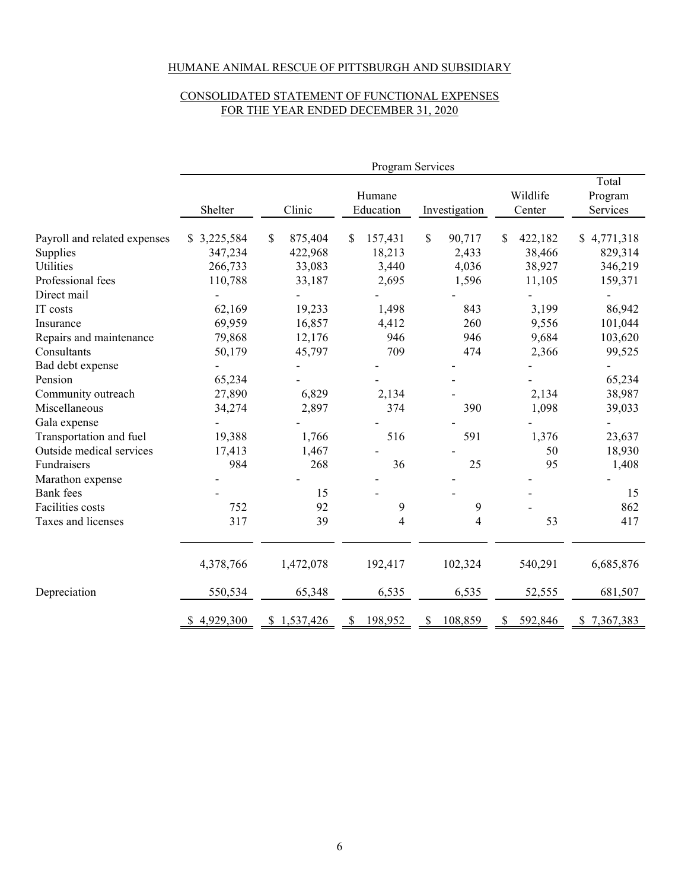# CONSOLIDATED STATEMENT OF FUNCTIONAL EXPENSES FOR THE YEAR ENDED DECEMBER 31, 2020

|                              | Program Services |               |                     |               |                    |                              |
|------------------------------|------------------|---------------|---------------------|---------------|--------------------|------------------------------|
|                              | Shelter          | Clinic        | Humane<br>Education | Investigation | Wildlife<br>Center | Total<br>Program<br>Services |
| Payroll and related expenses | \$3,225,584      | \$<br>875,404 | \$<br>157,431       | \$<br>90,717  | 422,182<br>S       | \$4,771,318                  |
| Supplies                     | 347,234          | 422,968       | 18,213              | 2,433         | 38,466             | 829,314                      |
| <b>Utilities</b>             | 266,733          | 33,083        | 3,440               | 4,036         | 38,927             | 346,219                      |
| Professional fees            | 110,788          | 33,187        | 2,695               | 1,596         | 11,105             | 159,371                      |
| Direct mail                  |                  |               |                     |               |                    |                              |
| IT costs                     | 62,169           | 19,233        | 1,498               | 843           | 3,199              | 86,942                       |
| Insurance                    | 69,959           | 16,857        | 4,412               | 260           | 9,556              | 101,044                      |
| Repairs and maintenance      | 79,868           | 12,176        | 946                 | 946           | 9,684              | 103,620                      |
| Consultants                  | 50,179           | 45,797        | 709                 | 474           | 2,366              | 99,525                       |
| Bad debt expense             |                  |               |                     |               |                    |                              |
| Pension                      | 65,234           |               |                     |               |                    | 65,234                       |
| Community outreach           | 27,890           | 6,829         | 2,134               |               | 2,134              | 38,987                       |
| Miscellaneous                | 34,274           | 2,897         | 374                 | 390           | 1,098              | 39,033                       |
| Gala expense                 |                  |               |                     |               |                    |                              |
| Transportation and fuel      | 19,388           | 1,766         | 516                 | 591           | 1,376              | 23,637                       |
| Outside medical services     | 17,413           | 1,467         |                     |               | 50                 | 18,930                       |
| Fundraisers                  | 984              | 268           | 36                  | 25            | 95                 | 1,408                        |
| Marathon expense             |                  |               |                     |               |                    |                              |
| <b>Bank</b> fees             |                  | 15            |                     |               |                    | 15                           |
| Facilities costs             | 752              | 92            | 9                   | 9             |                    | 862                          |
| Taxes and licenses           | 317              | 39            | 4                   | 4             | 53                 | 417                          |
|                              | 4,378,766        | 1,472,078     | 192,417             | 102,324       | 540,291            | 6,685,876                    |
| Depreciation                 | 550,534          | 65,348        | 6,535               | 6,535         | 52,555             | 681,507                      |
|                              | \$4,929,300      | \$1,537,426   | 198,952<br>S        | 108,859<br>\$ | 592,846<br>\$      | \$7,367,383                  |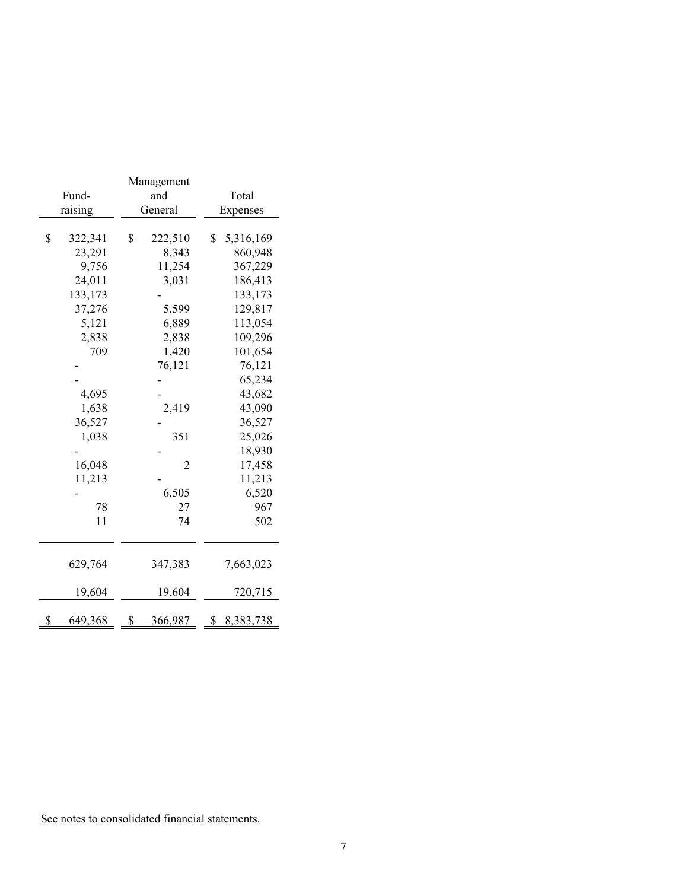| Fund-<br>raising | Management<br>and<br>General | Total<br>Expenses |
|------------------|------------------------------|-------------------|
| \$<br>322,341    | \$<br>222,510                | \$<br>5,316,169   |
| 23,291           | 8,343                        | 860,948           |
| 9,756            | 11,254                       | 367,229           |
| 24,011           | 3,031                        | 186,413           |
| 133,173          |                              | 133,173           |
| 37,276           | 5,599                        | 129,817           |
| 5,121            | 6,889                        | 113,054           |
| 2,838            | 2,838                        | 109,296           |
| 709              | 1,420                        | 101,654           |
|                  | 76,121                       | 76,121            |
|                  |                              | 65,234            |
| 4,695            |                              | 43,682            |
| 1,638            | 2,419                        | 43,090            |
| 36,527           |                              | 36,527            |
| 1,038            | 351                          | 25,026            |
|                  |                              | 18,930            |
| 16,048           | $\overline{2}$               | 17,458            |
| 11,213           |                              | 11,213            |
|                  | 6,505                        | 6,520             |
| 78               | 27                           | 967               |
| 11               | 74                           | 502               |
| 629,764          | 347,383                      | 7,663,023         |
| 19,604           | 19,604                       | 720,715           |
| 649,368          | \$<br>366,987                | \$<br>8,383,738   |

See notes to consolidated financial statements.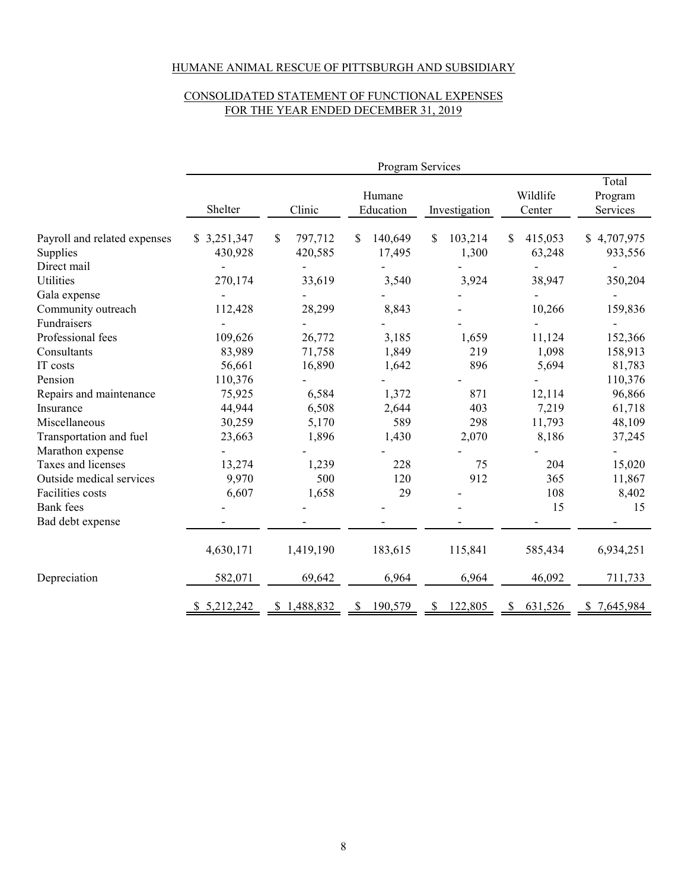# CONSOLIDATED STATEMENT OF FUNCTIONAL EXPENSES FOR THE YEAR ENDED DECEMBER 31, 2019

|                              | Program Services |               |                     |               |                    |                              |
|------------------------------|------------------|---------------|---------------------|---------------|--------------------|------------------------------|
|                              | Shelter          | Clinic        | Humane<br>Education | Investigation | Wildlife<br>Center | Total<br>Program<br>Services |
| Payroll and related expenses | \$3,251,347      | 797,712<br>\$ | 140,649<br>S.       | \$<br>103,214 | 415,053<br>S       | \$4,707,975                  |
| Supplies                     | 430,928          | 420,585       | 17,495              | 1,300         | 63,248             | 933,556                      |
| Direct mail                  |                  |               |                     |               |                    |                              |
| Utilities                    | 270,174          | 33,619        | 3,540               | 3,924         | 38,947             | 350,204                      |
| Gala expense                 |                  |               |                     |               |                    |                              |
| Community outreach           | 112,428          | 28,299        | 8,843               |               | 10,266             | 159,836                      |
| Fundraisers                  |                  |               |                     |               |                    |                              |
| Professional fees            | 109,626          | 26,772        | 3,185               | 1,659         | 11,124             | 152,366                      |
| Consultants                  | 83,989           | 71,758        | 1,849               | 219           | 1,098              | 158,913                      |
| IT costs                     | 56,661           | 16,890        | 1,642               | 896           | 5,694              | 81,783                       |
| Pension                      | 110,376          |               |                     |               |                    | 110,376                      |
| Repairs and maintenance      | 75,925           | 6,584         | 1,372               | 871           | 12,114             | 96,866                       |
| Insurance                    | 44,944           | 6,508         | 2,644               | 403           | 7,219              | 61,718                       |
| Miscellaneous                | 30,259           | 5,170         | 589                 | 298           | 11,793             | 48,109                       |
| Transportation and fuel      | 23,663           | 1,896         | 1,430               | 2,070         | 8,186              | 37,245                       |
| Marathon expense             |                  |               |                     |               |                    |                              |
| Taxes and licenses           | 13,274           | 1,239         | 228                 | 75            | 204                | 15,020                       |
| Outside medical services     | 9,970            | 500           | 120                 | 912           | 365                | 11,867                       |
| Facilities costs             | 6,607            | 1,658         | 29                  |               | 108                | 8,402                        |
| <b>Bank</b> fees             |                  |               |                     |               | 15                 | 15                           |
| Bad debt expense             |                  |               |                     |               |                    |                              |
|                              | 4,630,171        | 1,419,190     | 183,615             | 115,841       | 585,434            | 6,934,251                    |
| Depreciation                 | 582,071          | 69,642        | 6,964               | 6,964         | 46,092             | 711,733                      |
|                              | \$5,212,242      | \$1,488,832   | 190,579<br>S        | 122,805<br>S. | 631,526<br>\$      | \$7,645,984                  |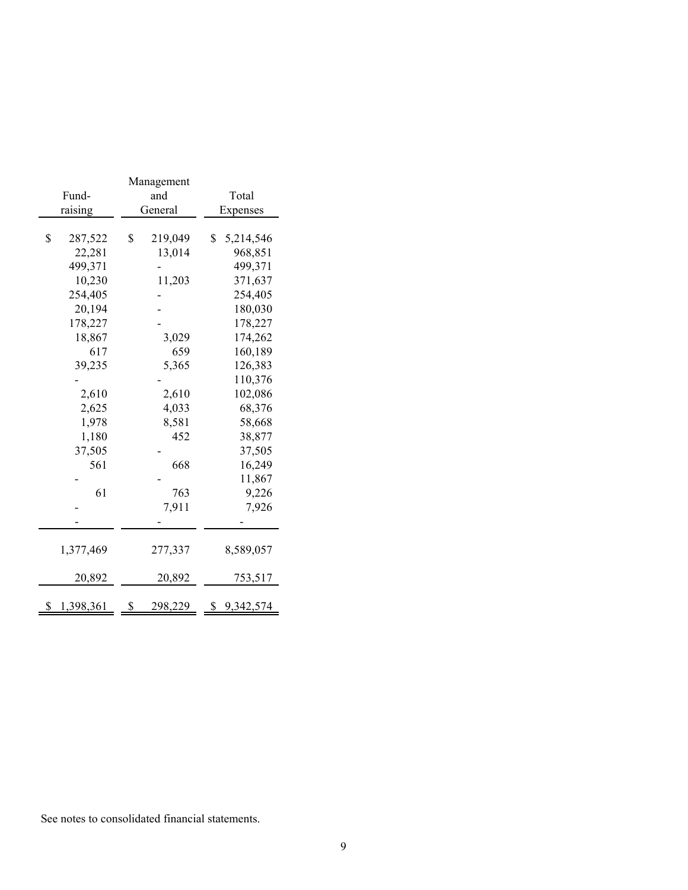|                 |    | Management |    |           |
|-----------------|----|------------|----|-----------|
| Fund-           |    | and        |    | Total     |
| raising         |    | General    |    | Expenses  |
|                 |    |            |    |           |
| \$<br>287,522   | \$ | 219,049    | \$ | 5,214,546 |
| 22,281          |    | 13,014     |    | 968,851   |
| 499,371         |    |            |    | 499,371   |
| 10,230          |    | 11,203     |    | 371,637   |
| 254,405         |    |            |    | 254,405   |
| 20,194          |    |            |    | 180,030   |
| 178,227         |    |            |    | 178,227   |
| 18,867          |    | 3,029      |    | 174,262   |
| 617             |    | 659        |    | 160,189   |
| 39,235          |    | 5,365      |    | 126,383   |
|                 |    |            |    | 110,376   |
| 2,610           |    | 2,610      |    | 102,086   |
| 2,625           |    | 4,033      |    | 68,376    |
| 1,978           |    | 8,581      |    | 58,668    |
| 1,180           |    | 452        |    | 38,877    |
| 37,505          |    |            |    | 37,505    |
| 561             |    | 668        |    | 16,249    |
|                 |    |            |    | 11,867    |
| 61              |    | 763        |    | 9,226     |
|                 |    | 7,911      |    | 7,926     |
|                 |    |            |    |           |
|                 |    |            |    |           |
| 1,377,469       |    | 277,337    |    | 8,589,057 |
|                 |    |            |    |           |
| 20,892          |    | 20,892     |    | 753,517   |
|                 |    |            |    |           |
| \$<br>1,398,361 | \$ | 298,229    | \$ | 9,342,574 |

See notes to consolidated financial statements.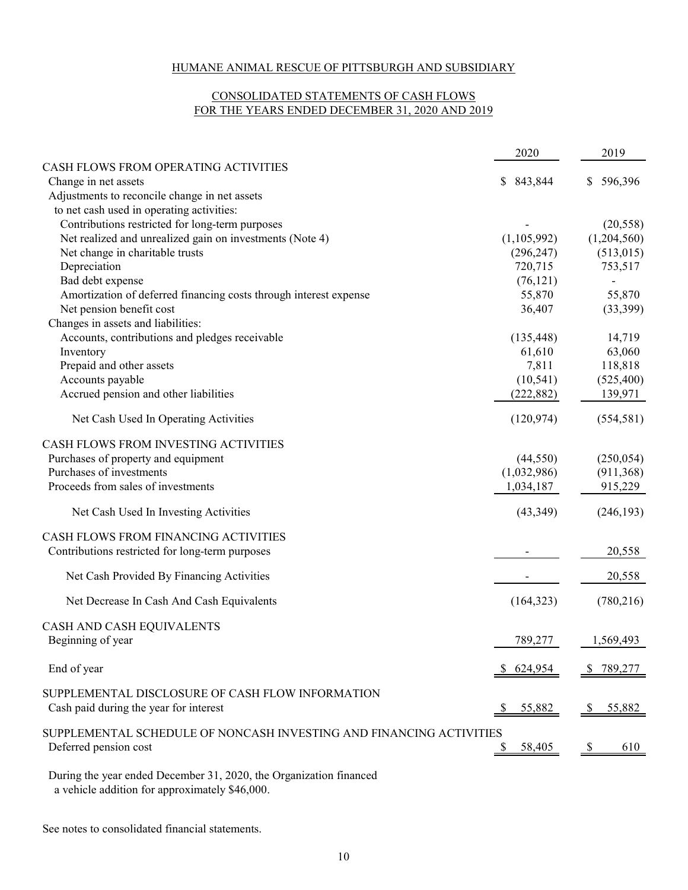# CONSOLIDATED STATEMENTS OF CASH FLOWS FOR THE YEARS ENDED DECEMBER 31, 2020 AND 2019

|                                                                     | 2020         | 2019                 |
|---------------------------------------------------------------------|--------------|----------------------|
| CASH FLOWS FROM OPERATING ACTIVITIES                                |              |                      |
| Change in net assets                                                | \$ 843,844   | \$596,396            |
| Adjustments to reconcile change in net assets                       |              |                      |
| to net cash used in operating activities:                           |              |                      |
| Contributions restricted for long-term purposes                     |              | (20, 558)            |
| Net realized and unrealized gain on investments (Note 4)            | (1,105,992)  | (1,204,560)          |
| Net change in charitable trusts                                     | (296, 247)   | (513, 015)           |
| Depreciation                                                        | 720,715      | 753,517              |
| Bad debt expense                                                    | (76, 121)    |                      |
| Amortization of deferred financing costs through interest expense   | 55,870       | 55,870               |
| Net pension benefit cost                                            | 36,407       | (33,399)             |
| Changes in assets and liabilities:                                  |              |                      |
| Accounts, contributions and pledges receivable                      | (135, 448)   | 14,719               |
| Inventory                                                           | 61,610       | 63,060               |
| Prepaid and other assets                                            | 7,811        | 118,818              |
| Accounts payable                                                    | (10, 541)    | (525,400)            |
| Accrued pension and other liabilities                               | (222, 882)   | 139,971              |
| Net Cash Used In Operating Activities                               | (120, 974)   | (554, 581)           |
| CASH FLOWS FROM INVESTING ACTIVITIES                                |              |                      |
| Purchases of property and equipment                                 | (44, 550)    | (250, 054)           |
| Purchases of investments                                            | (1,032,986)  | (911,368)            |
| Proceeds from sales of investments                                  | 1,034,187    | 915,229              |
| Net Cash Used In Investing Activities                               | (43,349)     | (246, 193)           |
| CASH FLOWS FROM FINANCING ACTIVITIES                                |              |                      |
| Contributions restricted for long-term purposes                     |              | 20,558               |
| Net Cash Provided By Financing Activities                           |              | 20,558               |
| Net Decrease In Cash And Cash Equivalents                           | (164, 323)   | (780, 216)           |
| CASH AND CASH EQUIVALENTS                                           |              |                      |
| Beginning of year                                                   | 789,277      | 1,569,493            |
| End of year                                                         | \$ 624,954   | 789,277              |
| SUPPLEMENTAL DISCLOSURE OF CASH FLOW INFORMATION                    |              |                      |
| Cash paid during the year for interest                              | 55,882<br>\$ | 55,882<br>S.         |
| SUPPLEMENTAL SCHEDULE OF NONCASH INVESTING AND FINANCING ACTIVITIES |              |                      |
| Deferred pension cost                                               | 58,405<br>\$ | 610<br>$\frac{8}{2}$ |
| During the year ended December 31, 2020, the Organization financed  |              |                      |

a vehicle addition for approximately \$46,000.

See notes to consolidated financial statements.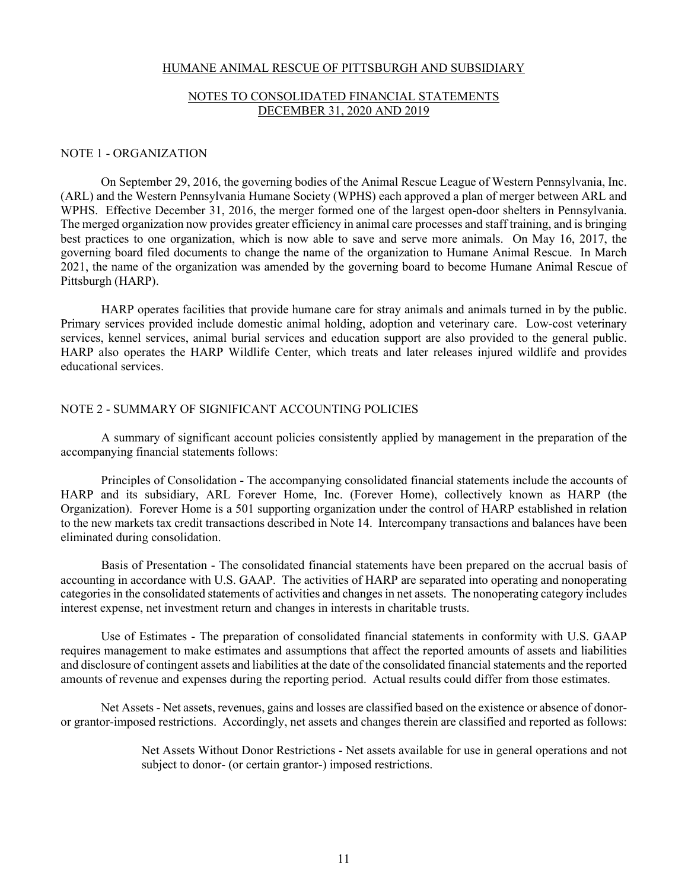# NOTES TO CONSOLIDATED FINANCIAL STATEMENTS DECEMBER 31, 2020 AND 2019

#### NOTE 1 - ORGANIZATION

On September 29, 2016, the governing bodies of the Animal Rescue League of Western Pennsylvania, Inc. (ARL) and the Western Pennsylvania Humane Society (WPHS) each approved a plan of merger between ARL and WPHS. Effective December 31, 2016, the merger formed one of the largest open-door shelters in Pennsylvania. The merged organization now provides greater efficiency in animal care processes and staff training, and is bringing best practices to one organization, which is now able to save and serve more animals. On May 16, 2017, the governing board filed documents to change the name of the organization to Humane Animal Rescue. In March 2021, the name of the organization was amended by the governing board to become Humane Animal Rescue of Pittsburgh (HARP).

HARP operates facilities that provide humane care for stray animals and animals turned in by the public. Primary services provided include domestic animal holding, adoption and veterinary care. Low-cost veterinary services, kennel services, animal burial services and education support are also provided to the general public. HARP also operates the HARP Wildlife Center, which treats and later releases injured wildlife and provides educational services.

### NOTE 2 - SUMMARY OF SIGNIFICANT ACCOUNTING POLICIES

A summary of significant account policies consistently applied by management in the preparation of the accompanying financial statements follows:

Principles of Consolidation - The accompanying consolidated financial statements include the accounts of HARP and its subsidiary, ARL Forever Home, Inc. (Forever Home), collectively known as HARP (the Organization). Forever Home is a 501 supporting organization under the control of HARP established in relation to the new markets tax credit transactions described in Note 14. Intercompany transactions and balances have been eliminated during consolidation.

Basis of Presentation - The consolidated financial statements have been prepared on the accrual basis of accounting in accordance with U.S. GAAP. The activities of HARP are separated into operating and nonoperating categoriesin the consolidated statements of activities and changes in net assets. The nonoperating category includes interest expense, net investment return and changes in interests in charitable trusts.

Use of Estimates - The preparation of consolidated financial statements in conformity with U.S. GAAP requires management to make estimates and assumptions that affect the reported amounts of assets and liabilities and disclosure of contingent assets and liabilities at the date of the consolidated financial statements and the reported amounts of revenue and expenses during the reporting period. Actual results could differ from those estimates.

Net Assets - Net assets, revenues, gains and losses are classified based on the existence or absence of donoror grantor-imposed restrictions. Accordingly, net assets and changes therein are classified and reported as follows:

> Net Assets Without Donor Restrictions - Net assets available for use in general operations and not subject to donor- (or certain grantor-) imposed restrictions.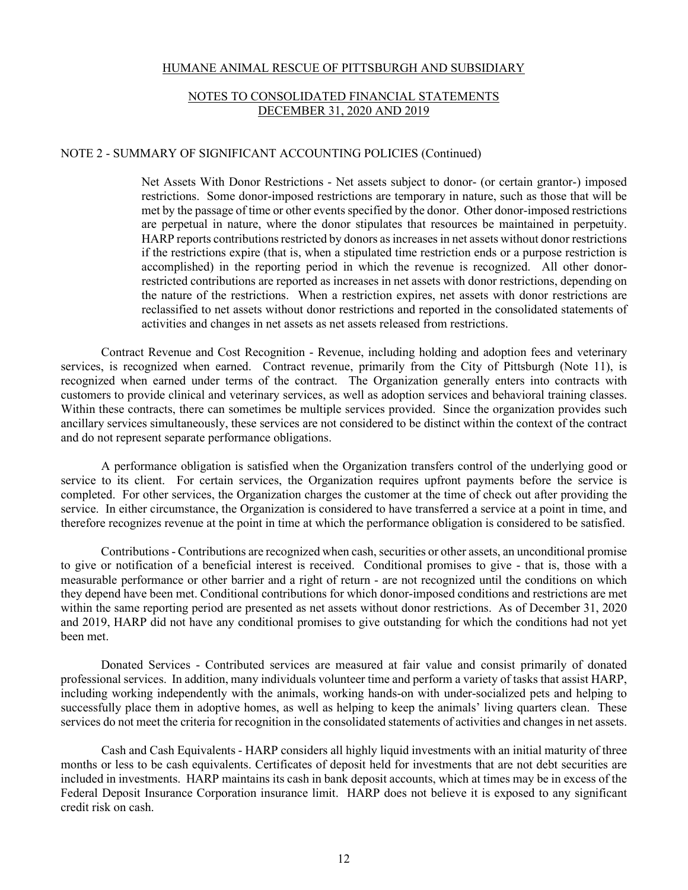# NOTES TO CONSOLIDATED FINANCIAL STATEMENTS DECEMBER 31, 2020 AND 2019

#### NOTE 2 - SUMMARY OF SIGNIFICANT ACCOUNTING POLICIES (Continued)

Net Assets With Donor Restrictions - Net assets subject to donor- (or certain grantor-) imposed restrictions. Some donor-imposed restrictions are temporary in nature, such as those that will be met by the passage of time or other events specified by the donor. Other donor-imposed restrictions are perpetual in nature, where the donor stipulates that resources be maintained in perpetuity. HARP reports contributions restricted by donors as increases in net assets without donor restrictions if the restrictions expire (that is, when a stipulated time restriction ends or a purpose restriction is accomplished) in the reporting period in which the revenue is recognized. All other donorrestricted contributions are reported as increases in net assets with donor restrictions, depending on the nature of the restrictions. When a restriction expires, net assets with donor restrictions are reclassified to net assets without donor restrictions and reported in the consolidated statements of activities and changes in net assets as net assets released from restrictions.

Contract Revenue and Cost Recognition - Revenue, including holding and adoption fees and veterinary services, is recognized when earned. Contract revenue, primarily from the City of Pittsburgh (Note 11), is recognized when earned under terms of the contract. The Organization generally enters into contracts with customers to provide clinical and veterinary services, as well as adoption services and behavioral training classes. Within these contracts, there can sometimes be multiple services provided. Since the organization provides such ancillary services simultaneously, these services are not considered to be distinct within the context of the contract and do not represent separate performance obligations.

A performance obligation is satisfied when the Organization transfers control of the underlying good or service to its client. For certain services, the Organization requires upfront payments before the service is completed. For other services, the Organization charges the customer at the time of check out after providing the service. In either circumstance, the Organization is considered to have transferred a service at a point in time, and therefore recognizes revenue at the point in time at which the performance obligation is considered to be satisfied.

Contributions - Contributions are recognized when cash, securities or other assets, an unconditional promise to give or notification of a beneficial interest is received. Conditional promises to give - that is, those with a measurable performance or other barrier and a right of return - are not recognized until the conditions on which they depend have been met. Conditional contributions for which donor-imposed conditions and restrictions are met within the same reporting period are presented as net assets without donor restrictions. As of December 31, 2020 and 2019, HARP did not have any conditional promises to give outstanding for which the conditions had not yet been met.

Donated Services - Contributed services are measured at fair value and consist primarily of donated professional services. In addition, many individuals volunteer time and perform a variety of tasks that assist HARP, including working independently with the animals, working hands-on with under-socialized pets and helping to successfully place them in adoptive homes, as well as helping to keep the animals' living quarters clean. These services do not meet the criteria for recognition in the consolidated statements of activities and changes in net assets.

Cash and Cash Equivalents - HARP considers all highly liquid investments with an initial maturity of three months or less to be cash equivalents. Certificates of deposit held for investments that are not debt securities are included in investments. HARP maintains its cash in bank deposit accounts, which at times may be in excess of the Federal Deposit Insurance Corporation insurance limit. HARP does not believe it is exposed to any significant credit risk on cash.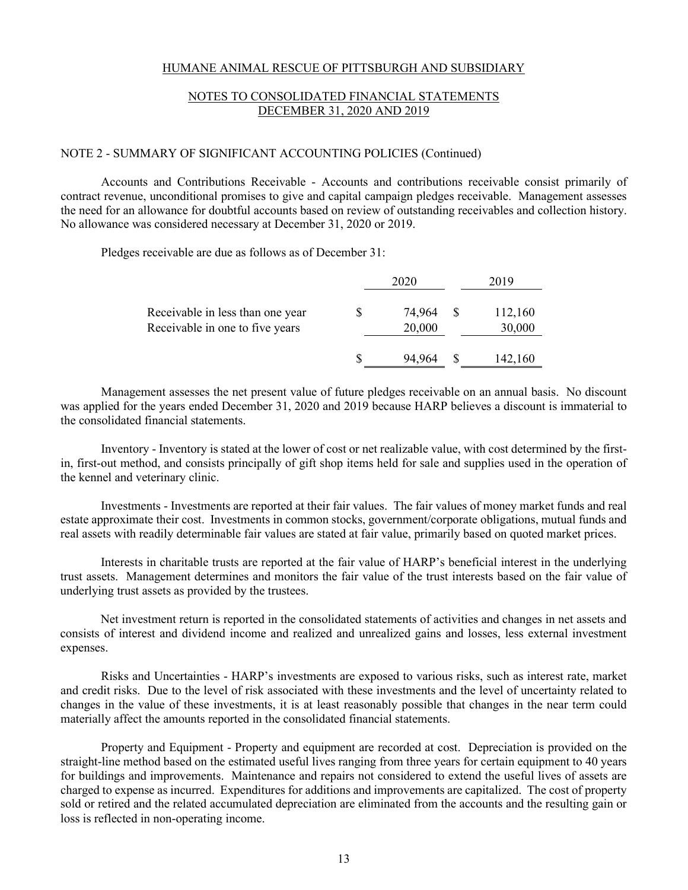# NOTES TO CONSOLIDATED FINANCIAL STATEMENTS DECEMBER 31, 2020 AND 2019

#### NOTE 2 - SUMMARY OF SIGNIFICANT ACCOUNTING POLICIES (Continued)

Accounts and Contributions Receivable - Accounts and contributions receivable consist primarily of contract revenue, unconditional promises to give and capital campaign pledges receivable. Management assesses the need for an allowance for doubtful accounts based on review of outstanding receivables and collection history. No allowance was considered necessary at December 31, 2020 or 2019.

Pledges receivable are due as follows as of December 31:

|                                                                     |   | 2020             |  | 2019              |
|---------------------------------------------------------------------|---|------------------|--|-------------------|
| Receivable in less than one year<br>Receivable in one to five years | S | 74,964<br>20,000 |  | 112,160<br>30,000 |
|                                                                     |   | 94,964           |  | 142,160           |

Management assesses the net present value of future pledges receivable on an annual basis. No discount was applied for the years ended December 31, 2020 and 2019 because HARP believes a discount is immaterial to the consolidated financial statements.

Inventory - Inventory is stated at the lower of cost or net realizable value, with cost determined by the firstin, first-out method, and consists principally of gift shop items held for sale and supplies used in the operation of the kennel and veterinary clinic.

Investments - Investments are reported at their fair values. The fair values of money market funds and real estate approximate their cost. Investments in common stocks, government/corporate obligations, mutual funds and real assets with readily determinable fair values are stated at fair value, primarily based on quoted market prices.

Interests in charitable trusts are reported at the fair value of HARP's beneficial interest in the underlying trust assets. Management determines and monitors the fair value of the trust interests based on the fair value of underlying trust assets as provided by the trustees.

Net investment return is reported in the consolidated statements of activities and changes in net assets and consists of interest and dividend income and realized and unrealized gains and losses, less external investment expenses.

Risks and Uncertainties - HARP's investments are exposed to various risks, such as interest rate, market and credit risks. Due to the level of risk associated with these investments and the level of uncertainty related to changes in the value of these investments, it is at least reasonably possible that changes in the near term could materially affect the amounts reported in the consolidated financial statements.

Property and Equipment - Property and equipment are recorded at cost. Depreciation is provided on the straight-line method based on the estimated useful lives ranging from three years for certain equipment to 40 years for buildings and improvements. Maintenance and repairs not considered to extend the useful lives of assets are charged to expense as incurred. Expenditures for additions and improvements are capitalized. The cost of property sold or retired and the related accumulated depreciation are eliminated from the accounts and the resulting gain or loss is reflected in non-operating income.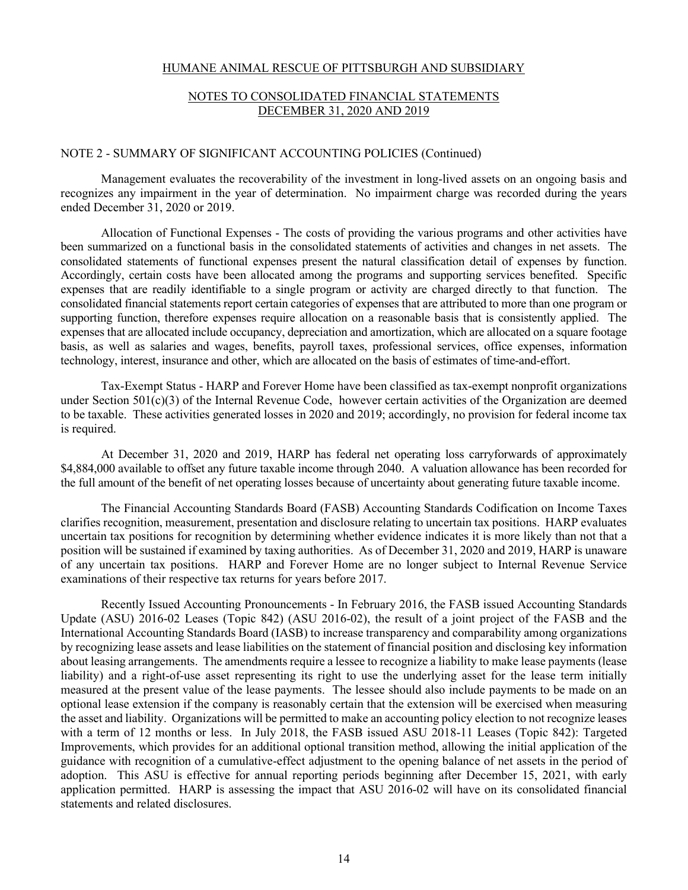# NOTES TO CONSOLIDATED FINANCIAL STATEMENTS DECEMBER 31, 2020 AND 2019

#### NOTE 2 - SUMMARY OF SIGNIFICANT ACCOUNTING POLICIES (Continued)

Management evaluates the recoverability of the investment in long-lived assets on an ongoing basis and recognizes any impairment in the year of determination. No impairment charge was recorded during the years ended December 31, 2020 or 2019.

Allocation of Functional Expenses - The costs of providing the various programs and other activities have been summarized on a functional basis in the consolidated statements of activities and changes in net assets. The consolidated statements of functional expenses present the natural classification detail of expenses by function. Accordingly, certain costs have been allocated among the programs and supporting services benefited. Specific expenses that are readily identifiable to a single program or activity are charged directly to that function. The consolidated financial statements report certain categories of expenses that are attributed to more than one program or supporting function, therefore expenses require allocation on a reasonable basis that is consistently applied. The expenses that are allocated include occupancy, depreciation and amortization, which are allocated on a square footage basis, as well as salaries and wages, benefits, payroll taxes, professional services, office expenses, information technology, interest, insurance and other, which are allocated on the basis of estimates of time-and-effort.

Tax-Exempt Status - HARP and Forever Home have been classified as tax-exempt nonprofit organizations under Section 501(c)(3) of the Internal Revenue Code, however certain activities of the Organization are deemed to be taxable. These activities generated losses in 2020 and 2019; accordingly, no provision for federal income tax is required.

At December 31, 2020 and 2019, HARP has federal net operating loss carryforwards of approximately \$4,884,000 available to offset any future taxable income through 2040. A valuation allowance has been recorded for the full amount of the benefit of net operating losses because of uncertainty about generating future taxable income.

The Financial Accounting Standards Board (FASB) Accounting Standards Codification on Income Taxes clarifies recognition, measurement, presentation and disclosure relating to uncertain tax positions. HARP evaluates uncertain tax positions for recognition by determining whether evidence indicates it is more likely than not that a position will be sustained if examined by taxing authorities. As of December 31, 2020 and 2019, HARP is unaware of any uncertain tax positions. HARP and Forever Home are no longer subject to Internal Revenue Service examinations of their respective tax returns for years before 2017.

Recently Issued Accounting Pronouncements - In February 2016, the FASB issued Accounting Standards Update (ASU) 2016-02 Leases (Topic 842) (ASU 2016-02), the result of a joint project of the FASB and the International Accounting Standards Board (IASB) to increase transparency and comparability among organizations by recognizing lease assets and lease liabilities on the statement of financial position and disclosing key information about leasing arrangements. The amendments require a lessee to recognize a liability to make lease payments (lease liability) and a right-of-use asset representing its right to use the underlying asset for the lease term initially measured at the present value of the lease payments. The lessee should also include payments to be made on an optional lease extension if the company is reasonably certain that the extension will be exercised when measuring the asset and liability. Organizations will be permitted to make an accounting policy election to not recognize leases with a term of 12 months or less. In July 2018, the FASB issued ASU 2018-11 Leases (Topic 842): Targeted Improvements, which provides for an additional optional transition method, allowing the initial application of the guidance with recognition of a cumulative-effect adjustment to the opening balance of net assets in the period of adoption. This ASU is effective for annual reporting periods beginning after December 15, 2021, with early application permitted. HARP is assessing the impact that ASU 2016-02 will have on its consolidated financial statements and related disclosures.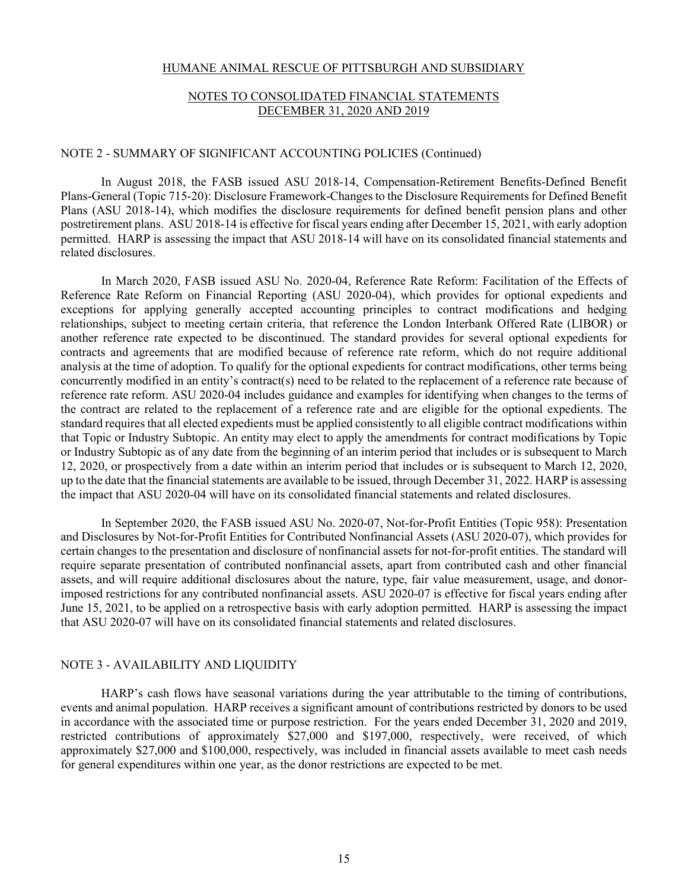# NOTES TO CONSOLIDATED FINANCIAL STATEMENTS DECEMBER 31, 2020 AND 2019

### NOTE 2 - SUMMARY OF SIGNIFICANT ACCOUNTING POLICIES (Continued)

In August 2018, the FASB issued ASU 2018-14, Compensation-Retirement Benefits-Defined Benefit Plans-General (Topic 715-20): Disclosure Framework-Changes to the Disclosure Requirements for Defined Benefit Plans (ASU 2018-14), which modifies the disclosure requirements for defined benefit pension plans and other postretirement plans. ASU 2018-14 is effective for fiscal years ending after December 15, 2021, with early adoption permitted. HARP is assessing the impact that ASU 2018-14 will have on its consolidated financial statements and related disclosures.

In March 2020, FASB issued ASU No. 2020-04, Reference Rate Reform: Facilitation of the Effects of Reference Rate Reform on Financial Reporting (ASU 2020-04), which provides for optional expedients and exceptions for applying generally accepted accounting principles to contract modifications and hedging relationships, subject to meeting certain criteria, that reference the London Interbank Offered Rate (LIBOR) or another reference rate expected to be discontinued. The standard provides for several optional expedients for contracts and agreements that are modified because of reference rate reform, which do not require additional analysis at the time of adoption. To qualify for the optional expedients for contract modifications, other terms being concurrently modified in an entity's contract(s) need to be related to the replacement of a reference rate because of reference rate reform. ASU 2020-04 includes guidance and examples for identifying when changes to the terms of the contract are related to the replacement of a reference rate and are eligible for the optional expedients. The standard requires that all elected expedients must be applied consistently to all eligible contract modifications within that Topic or Industry Subtopic. An entity may elect to apply the amendments for contract modifications by Topic or Industry Subtopic as of any date from the beginning of an interim period that includes or is subsequent to March 12, 2020, or prospectively from a date within an interim period that includes or is subsequent to March 12, 2020, up to the date that the financial statements are available to be issued, through December 31, 2022. HARP is assessing the impact that ASU 2020-04 will have on its consolidated financial statements and related disclosures.

In September 2020, the FASB issued ASU No. 2020-07, Not-for-Profit Entities (Topic 958): Presentation and Disclosures by Not-for-Profit Entities for Contributed Nonfinancial Assets (ASU 2020-07), which provides for certain changes to the presentation and disclosure of nonfinancial assets for not-for-profit entities. The standard will require separate presentation of contributed nonfinancial assets, apart from contributed cash and other financial assets, and will require additional disclosures about the nature, type, fair value measurement, usage, and donorimposed restrictions for any contributed nonfinancial assets. ASU 2020-07 is effective for fiscal years ending after June 15, 2021, to be applied on a retrospective basis with early adoption permitted. HARP is assessing the impact that ASU 2020-07 will have on its consolidated financial statements and related disclosures.

### NOTE 3 - AVAILABILITY AND LIQUIDITY

HARP's cash flows have seasonal variations during the year attributable to the timing of contributions, events and animal population. HARP receives a significant amount of contributions restricted by donors to be used in accordance with the associated time or purpose restriction. For the years ended December 31, 2020 and 2019, restricted contributions of approximately \$27,000 and \$197,000, respectively, were received, of which approximately \$27,000 and \$100,000, respectively, was included in financial assets available to meet cash needs for general expenditures within one year, as the donor restrictions are expected to be met.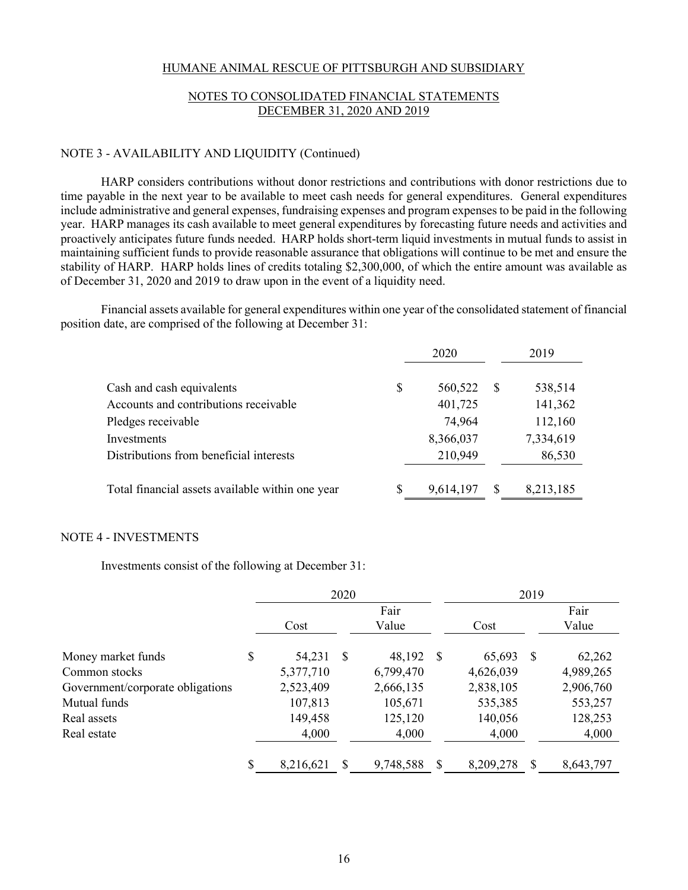# NOTES TO CONSOLIDATED FINANCIAL STATEMENTS DECEMBER 31, 2020 AND 2019

### NOTE 3 - AVAILABILITY AND LIQUIDITY (Continued)

HARP considers contributions without donor restrictions and contributions with donor restrictions due to time payable in the next year to be available to meet cash needs for general expenditures. General expenditures include administrative and general expenses, fundraising expenses and program expenses to be paid in the following year. HARP manages its cash available to meet general expenditures by forecasting future needs and activities and proactively anticipates future funds needed. HARP holds short-term liquid investments in mutual funds to assist in maintaining sufficient funds to provide reasonable assurance that obligations will continue to be met and ensure the stability of HARP. HARP holds lines of credits totaling \$2,300,000, of which the entire amount was available as of December 31, 2020 and 2019 to draw upon in the event of a liquidity need.

Financial assets available for general expenditures within one year of the consolidated statement of financial position date, are comprised of the following at December 31:

|                                                  | 2020 |           |              | 2019      |
|--------------------------------------------------|------|-----------|--------------|-----------|
|                                                  |      |           |              |           |
| Cash and cash equivalents                        | \$   | 560,522   | <sup>8</sup> | 538,514   |
| Accounts and contributions receivable            |      | 401,725   |              | 141,362   |
| Pledges receivable                               |      | 74,964    |              | 112,160   |
| Investments                                      |      | 8,366,037 |              | 7,334,619 |
| Distributions from beneficial interests          |      | 210,949   |              | 86,530    |
|                                                  |      |           |              |           |
| Total financial assets available within one year | S    | 9,614,197 | S            | 8,213,185 |

### NOTE 4 - INVESTMENTS

Investments consist of the following at December 31:

|                                  | 2020            |               |               |    | 2019      |               |               |
|----------------------------------|-----------------|---------------|---------------|----|-----------|---------------|---------------|
|                                  | Cost            |               | Fair<br>Value |    | Cost      |               | Fair<br>Value |
| Money market funds               | \$<br>54,231    | -S            | 48,192        | -S | 65,693    | <sup>\$</sup> | 62,262        |
| Common stocks                    | 5,377,710       |               | 6,799,470     |    | 4,626,039 |               | 4,989,265     |
| Government/corporate obligations | 2,523,409       |               | 2,666,135     |    | 2,838,105 |               | 2,906,760     |
| Mutual funds                     | 107,813         |               | 105,671       |    | 535,385   |               | 553,257       |
| Real assets                      | 149,458         |               | 125,120       |    | 140,056   |               | 128,253       |
| Real estate                      | 4,000           |               | 4,000         |    | 4,000     |               | 4,000         |
|                                  | \$<br>8,216,621 | <sup>\$</sup> | 9,748,588     | S  | 8,209,278 |               | 8,643,797     |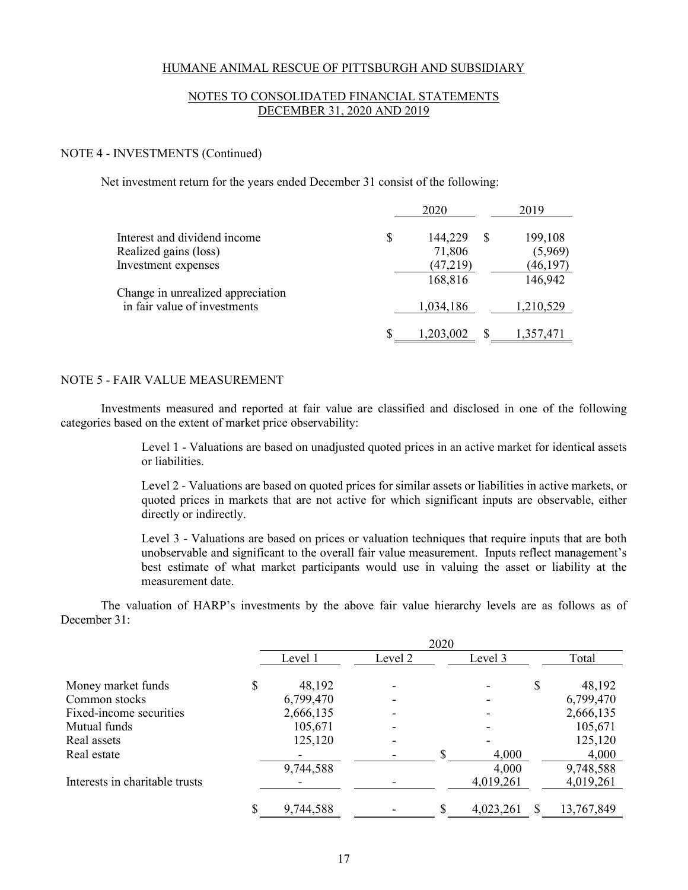## NOTES TO CONSOLIDATED FINANCIAL STATEMENTS DECEMBER 31, 2020 AND 2019

### NOTE 4 - INVESTMENTS (Continued)

Net investment return for the years ended December 31 consist of the following:

|                                                                   | 2020          |   | 2019      |
|-------------------------------------------------------------------|---------------|---|-----------|
| Interest and dividend income                                      | \$<br>144,229 | S | 199,108   |
| Realized gains (loss)                                             | 71,806        |   | (5,969)   |
| Investment expenses                                               | (47,219)      |   | (46, 197) |
|                                                                   | 168,816       |   | 146,942   |
| Change in unrealized appreciation<br>in fair value of investments | 1,034,186     |   | 1,210,529 |
|                                                                   | 1,203,002     |   | 1,357,471 |

### NOTE 5 - FAIR VALUE MEASUREMENT

Investments measured and reported at fair value are classified and disclosed in one of the following categories based on the extent of market price observability:

> Level 1 - Valuations are based on unadjusted quoted prices in an active market for identical assets or liabilities.

> Level 2 - Valuations are based on quoted prices for similar assets or liabilities in active markets, or quoted prices in markets that are not active for which significant inputs are observable, either directly or indirectly.

> Level 3 - Valuations are based on prices or valuation techniques that require inputs that are both unobservable and significant to the overall fair value measurement. Inputs reflect management's best estimate of what market participants would use in valuing the asset or liability at the measurement date.

The valuation of HARP's investments by the above fair value hierarchy levels are as follows as of December 31:

|                                |    | 2020      |         |    |           |   |            |
|--------------------------------|----|-----------|---------|----|-----------|---|------------|
|                                |    | Level 1   | Level 2 |    | Level 3   |   | Total      |
| Money market funds             | \$ | 48,192    |         |    |           | S | 48,192     |
| Common stocks                  |    | 6,799,470 |         |    |           |   | 6,799,470  |
| Fixed-income securities        |    | 2,666,135 |         |    |           |   | 2,666,135  |
| Mutual funds                   |    | 105,671   |         |    |           |   | 105,671    |
| Real assets                    |    | 125,120   |         |    |           |   | 125,120    |
| Real estate                    |    |           |         | S  | 4,000     |   | 4,000      |
|                                |    | 9,744,588 |         |    | 4,000     |   | 9,748,588  |
| Interests in charitable trusts |    |           |         |    | 4,019,261 |   | 4,019,261  |
|                                | ۰D | 9,744,588 |         | \$ | 4,023,261 |   | 13,767,849 |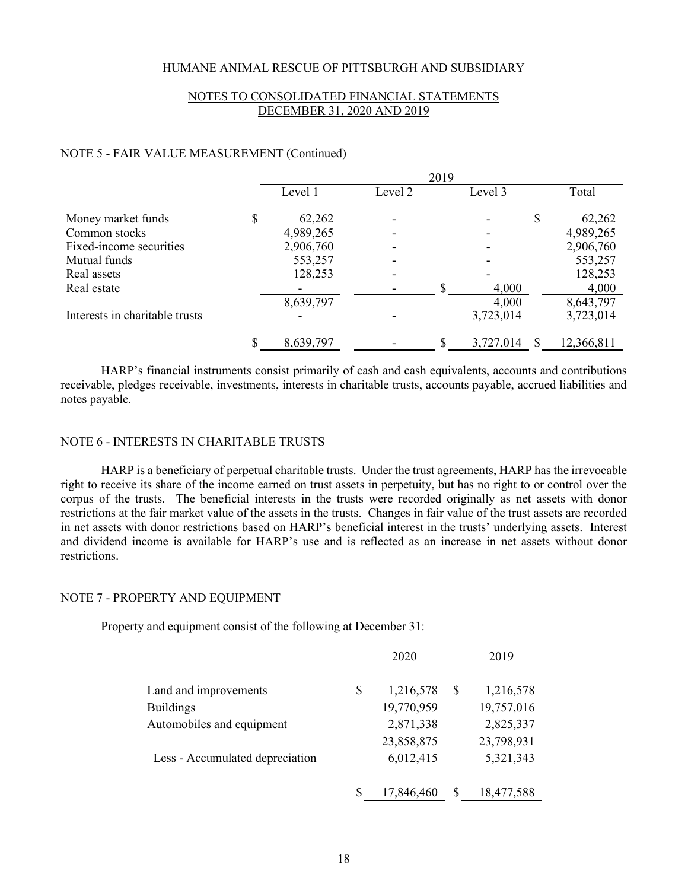## NOTES TO CONSOLIDATED FINANCIAL STATEMENTS DECEMBER 31, 2020 AND 2019

### NOTE 5 - FAIR VALUE MEASUREMENT (Continued)

|                                | 2019         |         |    |           |   |            |
|--------------------------------|--------------|---------|----|-----------|---|------------|
|                                | Level 1      | Level 2 |    | Level 3   |   | Total      |
| Money market funds             | \$<br>62,262 |         |    |           | S | 62,262     |
| Common stocks                  | 4,989,265    |         |    |           |   | 4,989,265  |
| Fixed-income securities        | 2,906,760    |         |    |           |   | 2,906,760  |
| Mutual funds                   | 553,257      |         |    |           |   | 553,257    |
| Real assets                    | 128,253      |         |    |           |   | 128,253    |
| Real estate                    |              |         |    | 4,000     |   | 4,000      |
|                                | 8,639,797    |         |    | 4,000     |   | 8,643,797  |
| Interests in charitable trusts |              |         |    | 3,723,014 |   | 3,723,014  |
|                                | 8,639,797    |         | \$ | 3,727,014 |   | 12,366,811 |

HARP's financial instruments consist primarily of cash and cash equivalents, accounts and contributions receivable, pledges receivable, investments, interests in charitable trusts, accounts payable, accrued liabilities and notes payable.

### NOTE 6 - INTERESTS IN CHARITABLE TRUSTS

HARP is a beneficiary of perpetual charitable trusts. Under the trust agreements, HARP has the irrevocable right to receive its share of the income earned on trust assets in perpetuity, but has no right to or control over the corpus of the trusts. The beneficial interests in the trusts were recorded originally as net assets with donor restrictions at the fair market value of the assets in the trusts. Changes in fair value of the trust assets are recorded in net assets with donor restrictions based on HARP's beneficial interest in the trusts' underlying assets. Interest and dividend income is available for HARP's use and is reflected as an increase in net assets without donor restrictions.

### NOTE 7 - PROPERTY AND EQUIPMENT

Property and equipment consist of the following at December 31:

|                                 | 2020             |   | 2019       |
|---------------------------------|------------------|---|------------|
|                                 |                  |   |            |
| Land and improvements           | \$<br>1,216,578  | S | 1,216,578  |
| <b>Buildings</b>                | 19,770,959       |   | 19,757,016 |
| Automobiles and equipment       | 2,871,338        |   | 2,825,337  |
|                                 | 23,858,875       |   | 23,798,931 |
| Less - Accumulated depreciation | 6,012,415        |   | 5,321,343  |
|                                 |                  |   |            |
|                                 | \$<br>17,846,460 | S | 18,477,588 |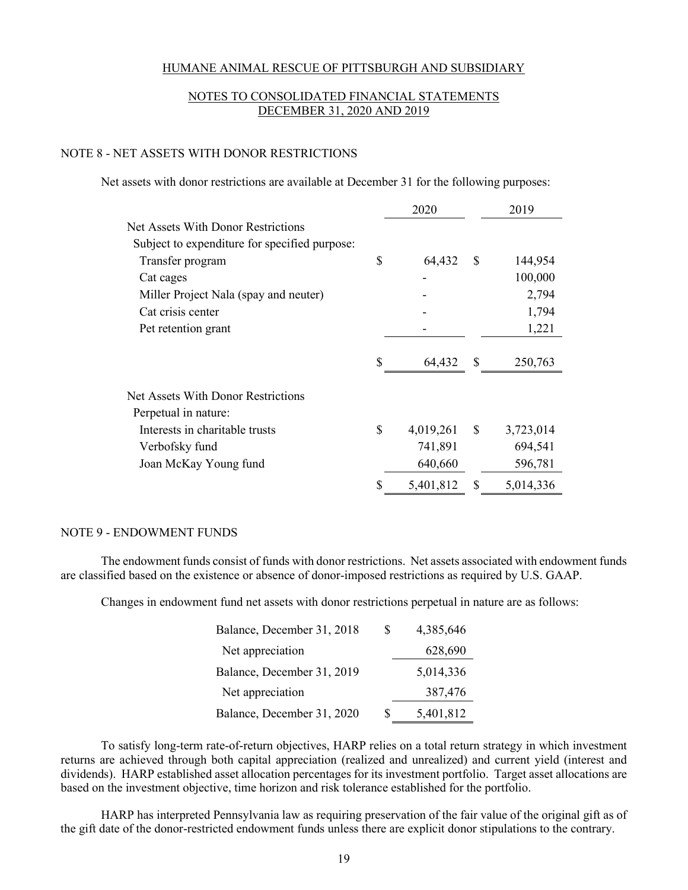# NOTES TO CONSOLIDATED FINANCIAL STATEMENTS DECEMBER 31, 2020 AND 2019

### NOTE 8 - NET ASSETS WITH DONOR RESTRICTIONS

Net assets with donor restrictions are available at December 31 for the following purposes:

|                                               | 2020            |    | 2019      |
|-----------------------------------------------|-----------------|----|-----------|
| Net Assets With Donor Restrictions            |                 |    |           |
| Subject to expenditure for specified purpose: |                 |    |           |
| Transfer program                              | \$<br>64,432    | S  | 144,954   |
| Cat cages                                     |                 |    | 100,000   |
| Miller Project Nala (spay and neuter)         |                 |    | 2,794     |
| Cat crisis center                             |                 |    | 1,794     |
| Pet retention grant                           |                 |    | 1,221     |
|                                               | \$<br>64,432    | \$ | 250,763   |
| Net Assets With Donor Restrictions            |                 |    |           |
| Perpetual in nature:                          |                 |    |           |
| Interests in charitable trusts                | \$<br>4,019,261 | \$ | 3,723,014 |
| Verbofsky fund                                | 741,891         |    | 694,541   |
| Joan McKay Young fund                         | 640,660         |    | 596,781   |
|                                               | \$<br>5,401,812 | \$ | 5,014,336 |

#### NOTE 9 - ENDOWMENT FUNDS

The endowment funds consist of funds with donor restrictions. Net assets associated with endowment funds are classified based on the existence or absence of donor-imposed restrictions as required by U.S. GAAP.

Changes in endowment fund net assets with donor restrictions perpetual in nature are as follows:

| Balance, December 31, 2018 | S | 4,385,646 |
|----------------------------|---|-----------|
| Net appreciation           |   | 628,690   |
| Balance, December 31, 2019 |   | 5,014,336 |
| Net appreciation           |   | 387,476   |
| Balance, December 31, 2020 | S | 5,401,812 |

To satisfy long-term rate-of-return objectives, HARP relies on a total return strategy in which investment returns are achieved through both capital appreciation (realized and unrealized) and current yield (interest and dividends). HARP established asset allocation percentages for its investment portfolio. Target asset allocations are based on the investment objective, time horizon and risk tolerance established for the portfolio.

HARP has interpreted Pennsylvania law as requiring preservation of the fair value of the original gift as of the gift date of the donor-restricted endowment funds unless there are explicit donor stipulations to the contrary.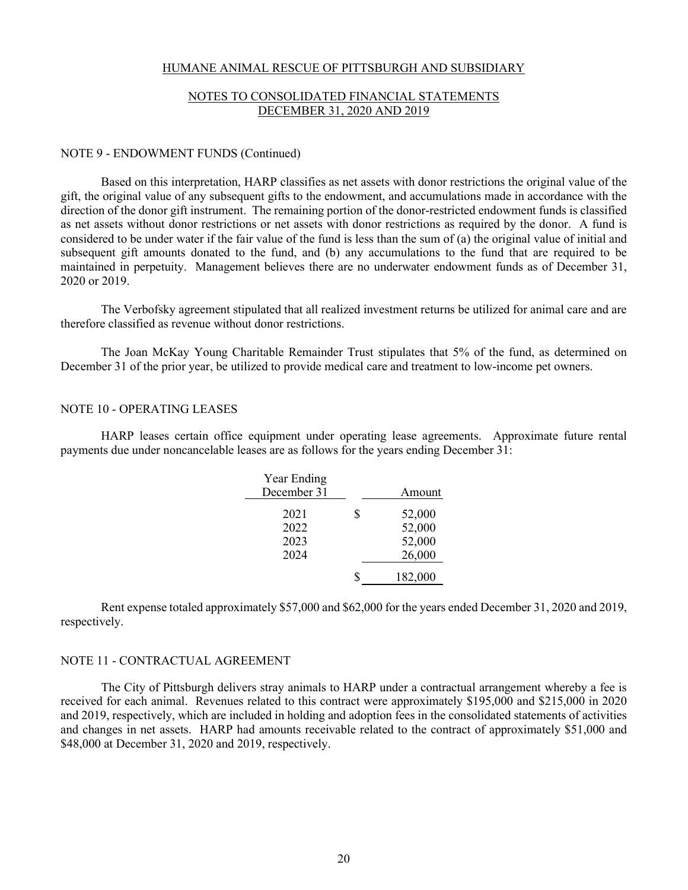# NOTES TO CONSOLIDATED FINANCIAL STATEMENTS DECEMBER 31, 2020 AND 2019

#### NOTE 9 - ENDOWMENT FUNDS (Continued)

Based on this interpretation, HARP classifies as net assets with donor restrictions the original value of the gift, the original value of any subsequent gifts to the endowment, and accumulations made in accordance with the direction of the donor gift instrument. The remaining portion of the donor-restricted endowment funds is classified as net assets without donor restrictions or net assets with donor restrictions as required by the donor. A fund is considered to be under water if the fair value of the fund is less than the sum of (a) the original value of initial and subsequent gift amounts donated to the fund, and (b) any accumulations to the fund that are required to be maintained in perpetuity. Management believes there are no underwater endowment funds as of December 31, 2020 or 2019.

The Verbofsky agreement stipulated that all realized investment returns be utilized for animal care and are therefore classified as revenue without donor restrictions.

The Joan McKay Young Charitable Remainder Trust stipulates that 5% of the fund, as determined on December 31 of the prior year, be utilized to provide medical care and treatment to low-income pet owners.

### NOTE 10 - OPERATING LEASES

HARP leases certain office equipment under operating lease agreements. Approximate future rental payments due under noncancelable leases are as follows for the years ending December 31:

| Year Ending |   |         |
|-------------|---|---------|
| December 31 |   | Amount  |
| 2021        | S | 52,000  |
| 2022        |   | 52,000  |
| 2023        |   | 52,000  |
| 2024        |   | 26,000  |
|             |   | 182,000 |

Rent expense totaled approximately \$57,000 and \$62,000 for the years ended December 31, 2020 and 2019, respectively.

#### NOTE 11 - CONTRACTUAL AGREEMENT

The City of Pittsburgh delivers stray animals to HARP under a contractual arrangement whereby a fee is received for each animal. Revenues related to this contract were approximately \$195,000 and \$215,000 in 2020 and 2019, respectively, which are included in holding and adoption fees in the consolidated statements of activities and changes in net assets. HARP had amounts receivable related to the contract of approximately \$51,000 and \$48,000 at December 31, 2020 and 2019, respectively.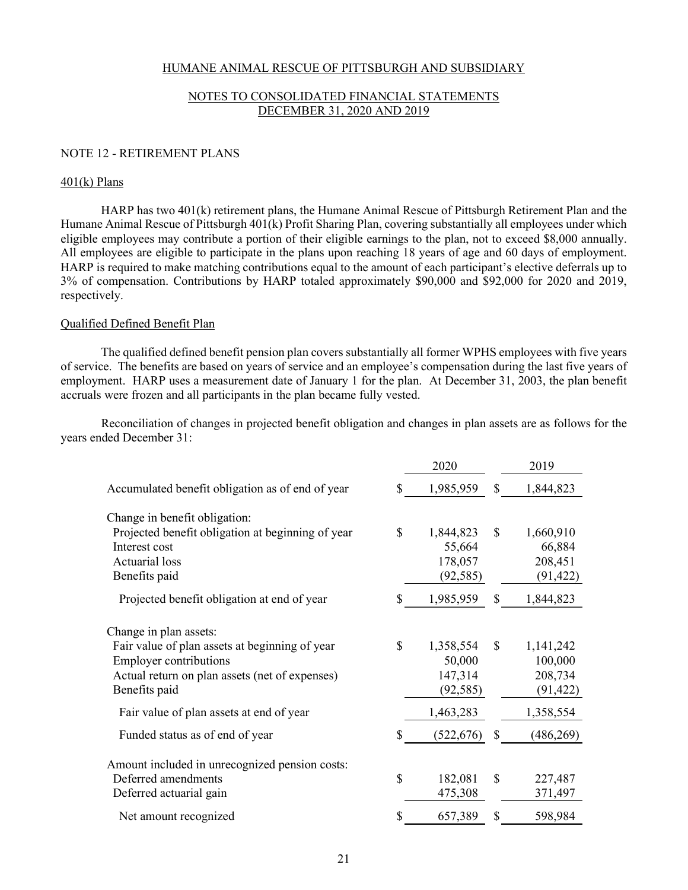# NOTES TO CONSOLIDATED FINANCIAL STATEMENTS DECEMBER 31, 2020 AND 2019

#### NOTE 12 - RETIREMENT PLANS

### $401(k)$  Plans

HARP has two 401(k) retirement plans, the Humane Animal Rescue of Pittsburgh Retirement Plan and the Humane Animal Rescue of Pittsburgh 401(k) Profit Sharing Plan, covering substantially all employees under which eligible employees may contribute a portion of their eligible earnings to the plan, not to exceed \$8,000 annually. All employees are eligible to participate in the plans upon reaching 18 years of age and 60 days of employment. HARP is required to make matching contributions equal to the amount of each participant's elective deferrals up to 3% of compensation. Contributions by HARP totaled approximately \$90,000 and \$92,000 for 2020 and 2019, respectively.

#### Qualified Defined Benefit Plan

The qualified defined benefit pension plan covers substantially all former WPHS employees with five years of service. The benefits are based on years of service and an employee's compensation during the last five years of employment. HARP uses a measurement date of January 1 for the plan. At December 31, 2003, the plan benefit accruals were frozen and all participants in the plan became fully vested.

Reconciliation of changes in projected benefit obligation and changes in plan assets are as follows for the years ended December 31:

|                                                   |               | 2020       |               | 2019      |
|---------------------------------------------------|---------------|------------|---------------|-----------|
| Accumulated benefit obligation as of end of year  | \$            | 1,985,959  | \$            | 1,844,823 |
| Change in benefit obligation:                     |               |            |               |           |
| Projected benefit obligation at beginning of year | $\mathcal{S}$ | 1,844,823  | <sup>\$</sup> | 1,660,910 |
| Interest cost                                     |               | 55,664     |               | 66,884    |
| <b>Actuarial</b> loss                             |               | 178,057    |               | 208,451   |
| Benefits paid                                     |               | (92, 585)  |               | (91, 422) |
| Projected benefit obligation at end of year       | \$            | 1,985,959  | S             | 1,844,823 |
| Change in plan assets:                            |               |            |               |           |
| Fair value of plan assets at beginning of year    | \$            | 1,358,554  | \$            | 1,141,242 |
| <b>Employer contributions</b>                     |               | 50,000     |               | 100,000   |
| Actual return on plan assets (net of expenses)    |               | 147,314    |               | 208,734   |
| Benefits paid                                     |               | (92, 585)  |               | (91, 422) |
| Fair value of plan assets at end of year          |               | 1,463,283  |               | 1,358,554 |
| Funded status as of end of year                   | \$            | (522, 676) | \$            | (486,269) |
| Amount included in unrecognized pension costs:    |               |            |               |           |
| Deferred amendments                               | \$            | 182,081    | \$            | 227,487   |
| Deferred actuarial gain                           |               | 475,308    |               | 371,497   |
| Net amount recognized                             | $\mathbb{S}$  | 657,389    | S             | 598,984   |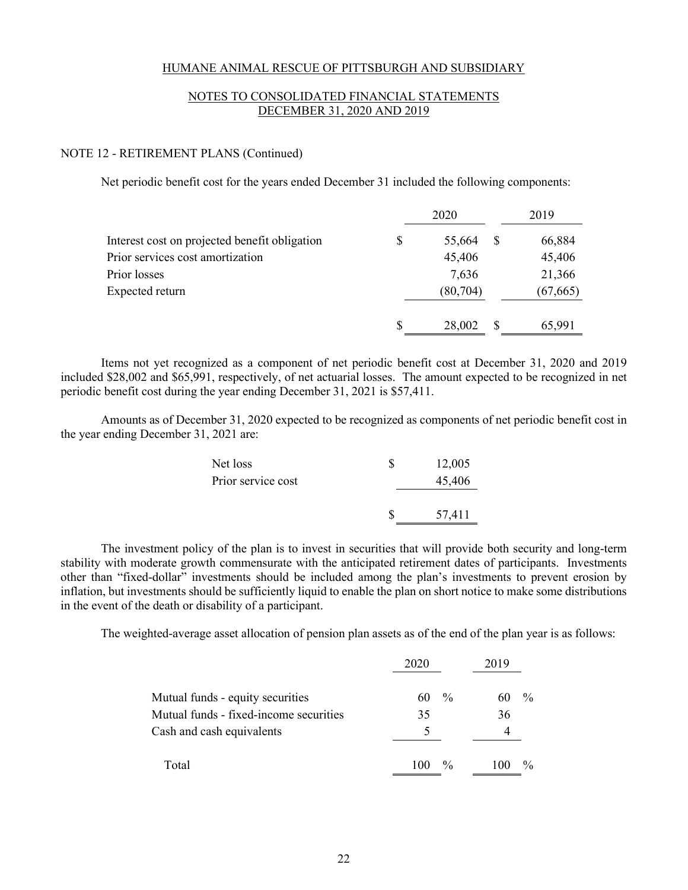# NOTES TO CONSOLIDATED FINANCIAL STATEMENTS DECEMBER 31, 2020 AND 2019

### NOTE 12 - RETIREMENT PLANS (Continued)

Net periodic benefit cost for the years ended December 31 included the following components:

|                                               |               | 2020      |   | 2019      |
|-----------------------------------------------|---------------|-----------|---|-----------|
| Interest cost on projected benefit obligation | <sup>\$</sup> | 55,664    | S | 66,884    |
| Prior services cost amortization              |               | 45,406    |   | 45,406    |
| Prior losses                                  |               | 7,636     |   | 21,366    |
| Expected return                               |               | (80, 704) |   | (67, 665) |
|                                               | \$.           | 28,002    |   | 65,991    |

Items not yet recognized as a component of net periodic benefit cost at December 31, 2020 and 2019 included \$28,002 and \$65,991, respectively, of net actuarial losses. The amount expected to be recognized in net periodic benefit cost during the year ending December 31, 2021 is \$57,411.

Amounts as of December 31, 2020 expected to be recognized as components of net periodic benefit cost in the year ending December 31, 2021 are:

| Net loss           | 12,005 |
|--------------------|--------|
| Prior service cost | 45,406 |
|                    |        |
|                    | 57,411 |
|                    |        |

The investment policy of the plan is to invest in securities that will provide both security and long-term stability with moderate growth commensurate with the anticipated retirement dates of participants. Investments other than "fixed-dollar" investments should be included among the plan's investments to prevent erosion by inflation, but investments should be sufficiently liquid to enable the plan on short notice to make some distributions in the event of the death or disability of a participant.

The weighted-average asset allocation of pension plan assets as of the end of the plan year is as follows:

|                                        | 2020                 | 2019                 |
|----------------------------------------|----------------------|----------------------|
| Mutual funds - equity securities       | $\frac{0}{0}$<br>60  | $\frac{0}{0}$<br>60  |
| Mutual funds - fixed-income securities | 35                   | 36                   |
| Cash and cash equivalents              | 5                    |                      |
| Total                                  | $\frac{0}{0}$<br>100 | $\frac{0}{0}$<br>100 |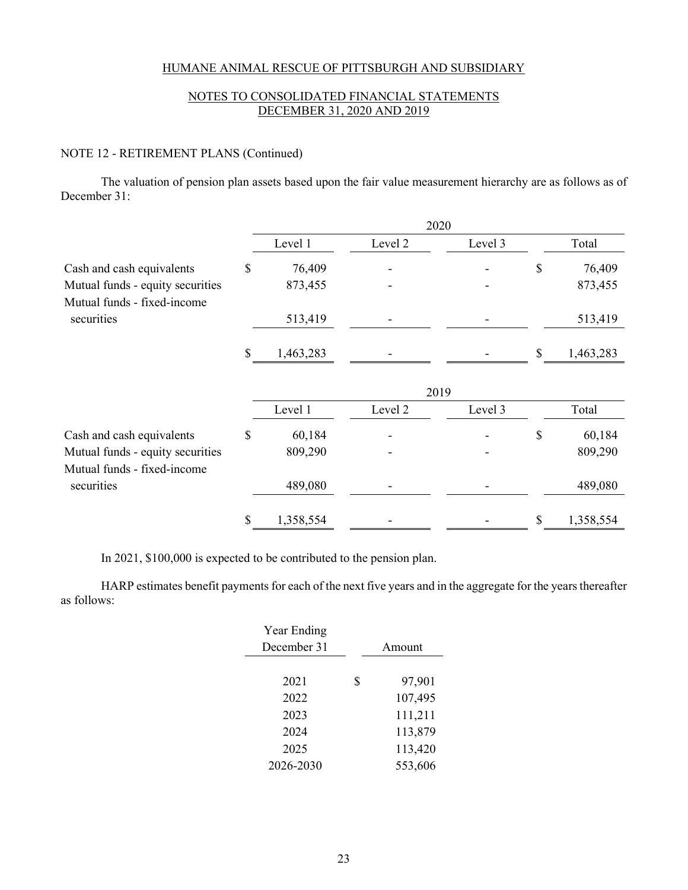# NOTES TO CONSOLIDATED FINANCIAL STATEMENTS DECEMBER 31, 2020 AND 2019

# NOTE 12 - RETIREMENT PLANS (Continued)

The valuation of pension plan assets based upon the fair value measurement hierarchy are as follows as of December 31:

|               | 2020    |                        |         |    |           |  |  |
|---------------|---------|------------------------|---------|----|-----------|--|--|
|               | Level 1 | Level 2                | Level 3 |    | Total     |  |  |
| $\mathcal{S}$ | 76,409  |                        |         | \$ | 76,409    |  |  |
|               | 873,455 |                        |         |    | 873,455   |  |  |
|               |         |                        |         |    |           |  |  |
|               | 513,419 |                        |         |    | 513,419   |  |  |
|               |         |                        |         |    | 1,463,283 |  |  |
|               |         |                        |         |    |           |  |  |
|               | 2019    |                        |         |    |           |  |  |
|               | Level 1 | Level 2                | Level 3 |    | Total     |  |  |
| \$            | 60,184  |                        |         | \$ | 60,184    |  |  |
|               | 809,290 |                        |         |    | 809,290   |  |  |
|               |         |                        |         |    |           |  |  |
|               | 489,080 |                        |         |    | 489,080   |  |  |
| \$            |         |                        |         | S  | 1,358,554 |  |  |
|               | \$      | 1,463,283<br>1,358,554 |         |    | \$        |  |  |

In 2021, \$100,000 is expected to be contributed to the pension plan.

HARP estimates benefit payments for each of the next five years and in the aggregate for the years thereafter as follows:

| Year Ending |              |  |  |  |
|-------------|--------------|--|--|--|
| December 31 | Amount       |  |  |  |
|             |              |  |  |  |
| 2021        | \$<br>97,901 |  |  |  |
| 2022        | 107,495      |  |  |  |
| 2023        | 111,211      |  |  |  |
| 2024        | 113,879      |  |  |  |
| 2025        | 113,420      |  |  |  |
| 2026-2030   | 553,606      |  |  |  |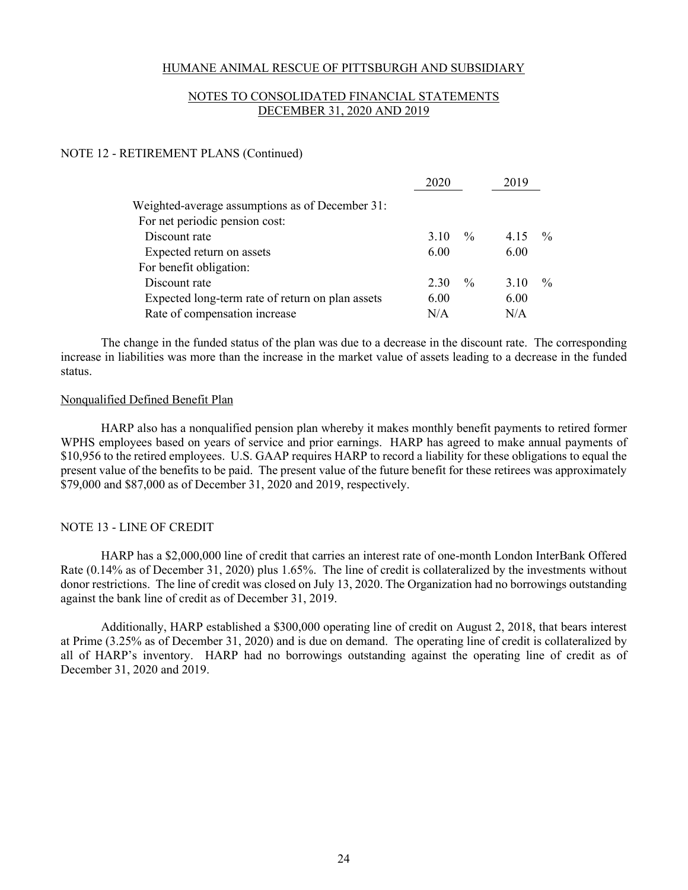# NOTES TO CONSOLIDATED FINANCIAL STATEMENTS DECEMBER 31, 2020 AND 2019

### NOTE 12 - RETIREMENT PLANS (Continued)

|                                                  | 2020 |               | 2019 |               |
|--------------------------------------------------|------|---------------|------|---------------|
| Weighted-average assumptions as of December 31:  |      |               |      |               |
| For net periodic pension cost:                   |      |               |      |               |
| Discount rate                                    | 3.10 | $\%$          | 4.15 | $\frac{0}{0}$ |
| Expected return on assets                        | 6.00 |               | 6.00 |               |
| For benefit obligation:                          |      |               |      |               |
| Discount rate                                    | 2.30 | $\frac{0}{0}$ | 3.10 | $\frac{0}{0}$ |
| Expected long-term rate of return on plan assets | 6.00 |               | 6.00 |               |
| Rate of compensation increase                    | N/A  |               | N/A  |               |

The change in the funded status of the plan was due to a decrease in the discount rate. The corresponding increase in liabilities was more than the increase in the market value of assets leading to a decrease in the funded status.

### Nonqualified Defined Benefit Plan

HARP also has a nonqualified pension plan whereby it makes monthly benefit payments to retired former WPHS employees based on years of service and prior earnings. HARP has agreed to make annual payments of \$10,956 to the retired employees. U.S. GAAP requires HARP to record a liability for these obligations to equal the present value of the benefits to be paid. The present value of the future benefit for these retirees was approximately \$79,000 and \$87,000 as of December 31, 2020 and 2019, respectively.

### NOTE 13 - LINE OF CREDIT

HARP has a \$2,000,000 line of credit that carries an interest rate of one-month London InterBank Offered Rate (0.14% as of December 31, 2020) plus 1.65%. The line of credit is collateralized by the investments without donor restrictions. The line of credit was closed on July 13, 2020. The Organization had no borrowings outstanding against the bank line of credit as of December 31, 2019.

Additionally, HARP established a \$300,000 operating line of credit on August 2, 2018, that bears interest at Prime (3.25% as of December 31, 2020) and is due on demand. The operating line of credit is collateralized by all of HARP's inventory. HARP had no borrowings outstanding against the operating line of credit as of December 31, 2020 and 2019.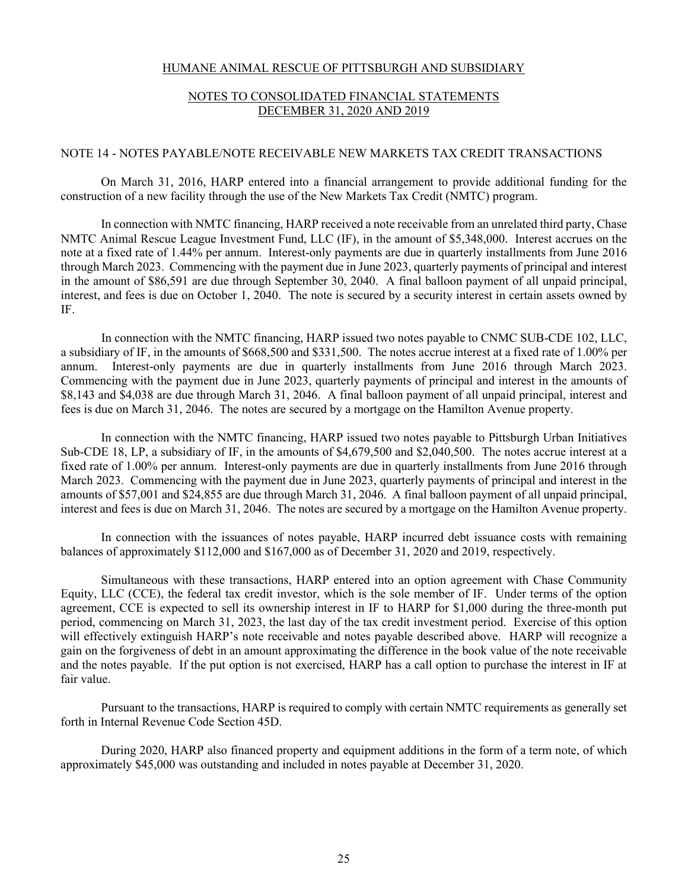# NOTES TO CONSOLIDATED FINANCIAL STATEMENTS DECEMBER 31, 2020 AND 2019

### NOTE 14 - NOTES PAYABLE/NOTE RECEIVABLE NEW MARKETS TAX CREDIT TRANSACTIONS

On March 31, 2016, HARP entered into a financial arrangement to provide additional funding for the construction of a new facility through the use of the New Markets Tax Credit (NMTC) program.

In connection with NMTC financing, HARP received a note receivable from an unrelated third party, Chase NMTC Animal Rescue League Investment Fund, LLC (IF), in the amount of \$5,348,000. Interest accrues on the note at a fixed rate of 1.44% per annum. Interest-only payments are due in quarterly installments from June 2016 through March 2023. Commencing with the payment due in June 2023, quarterly payments of principal and interest in the amount of \$86,591 are due through September 30, 2040. A final balloon payment of all unpaid principal, interest, and fees is due on October 1, 2040. The note is secured by a security interest in certain assets owned by IF.

In connection with the NMTC financing, HARP issued two notes payable to CNMC SUB-CDE 102, LLC, a subsidiary of IF, in the amounts of \$668,500 and \$331,500. The notes accrue interest at a fixed rate of 1.00% per annum. Interest-only payments are due in quarterly installments from June 2016 through March 2023. Commencing with the payment due in June 2023, quarterly payments of principal and interest in the amounts of \$8,143 and \$4,038 are due through March 31, 2046. A final balloon payment of all unpaid principal, interest and fees is due on March 31, 2046. The notes are secured by a mortgage on the Hamilton Avenue property.

In connection with the NMTC financing, HARP issued two notes payable to Pittsburgh Urban Initiatives Sub-CDE 18, LP, a subsidiary of IF, in the amounts of \$4,679,500 and \$2,040,500. The notes accrue interest at a fixed rate of 1.00% per annum. Interest-only payments are due in quarterly installments from June 2016 through March 2023. Commencing with the payment due in June 2023, quarterly payments of principal and interest in the amounts of \$57,001 and \$24,855 are due through March 31, 2046. A final balloon payment of all unpaid principal, interest and fees is due on March 31, 2046. The notes are secured by a mortgage on the Hamilton Avenue property.

In connection with the issuances of notes payable, HARP incurred debt issuance costs with remaining balances of approximately \$112,000 and \$167,000 as of December 31, 2020 and 2019, respectively.

Simultaneous with these transactions, HARP entered into an option agreement with Chase Community Equity, LLC (CCE), the federal tax credit investor, which is the sole member of IF. Under terms of the option agreement, CCE is expected to sell its ownership interest in IF to HARP for \$1,000 during the three-month put period, commencing on March 31, 2023, the last day of the tax credit investment period. Exercise of this option will effectively extinguish HARP's note receivable and notes payable described above. HARP will recognize a gain on the forgiveness of debt in an amount approximating the difference in the book value of the note receivable and the notes payable. If the put option is not exercised, HARP has a call option to purchase the interest in IF at fair value.

Pursuant to the transactions, HARP is required to comply with certain NMTC requirements as generally set forth in Internal Revenue Code Section 45D.

During 2020, HARP also financed property and equipment additions in the form of a term note, of which approximately \$45,000 was outstanding and included in notes payable at December 31, 2020.